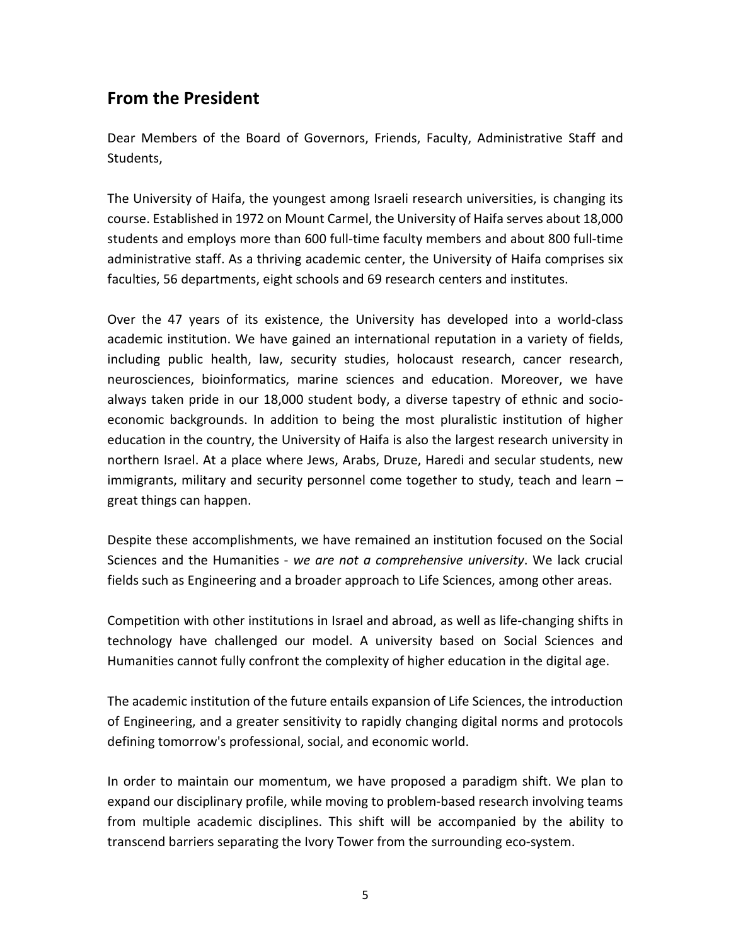# **From the President**

Dear Members of the Board of Governors, Friends, Faculty, Administrative Staff and Students,

The University of Haifa, the youngest among Israeli research universities, is changing its course. Established in 1972 on Mount Carmel, the University of Haifa serves about 18,000 students and employs more than 600 full-time faculty members and about 800 full-time administrative staff. As a thriving academic center, the University of Haifa comprises six faculties, 56 departments, eight schools and 69 research centers and institutes.

Over the 47 years of its existence, the University has developed into a world-class academic institution. We have gained an international reputation in a variety of fields, including public health, law, security studies, holocaust research, cancer research, neurosciences, bioinformatics, marine sciences and education. Moreover, we have always taken pride in our 18,000 student body, a diverse tapestry of ethnic and socioeconomic backgrounds. In addition to being the most pluralistic institution of higher education in the country, the University of Haifa is also the largest research university in northern Israel. At a place where Jews, Arabs, Druze, Haredi and secular students, new immigrants, military and security personnel come together to study, teach and learn – great things can happen.

Despite these accomplishments, we have remained an institution focused on the Social Sciences and the Humanities - *we are not a comprehensive university*. We lack crucial fields such as Engineering and a broader approach to Life Sciences, among other areas.

Competition with other institutions in Israel and abroad, as well as life-changing shifts in technology have challenged our model. A university based on Social Sciences and Humanities cannot fully confront the complexity of higher education in the digital age.

The academic institution of the future entails expansion of Life Sciences, the introduction of Engineering, and a greater sensitivity to rapidly changing digital norms and protocols defining tomorrow's professional, social, and economic world.

In order to maintain our momentum, we have proposed a paradigm shift. We plan to expand our disciplinary profile, while moving to problem-based research involving teams from multiple academic disciplines. This shift will be accompanied by the ability to transcend barriers separating the Ivory Tower from the surrounding eco-system.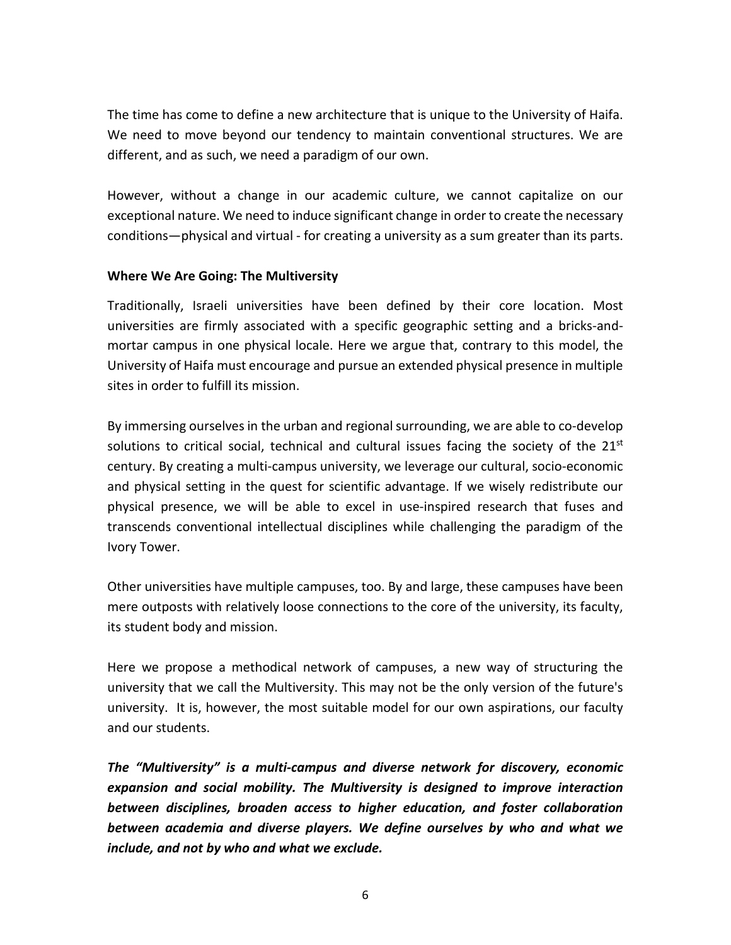The time has come to define a new architecture that is unique to the University of Haifa. We need to move beyond our tendency to maintain conventional structures. We are different, and as such, we need a paradigm of our own.

However, without a change in our academic culture, we cannot capitalize on our exceptional nature. We need to induce significant change in order to create the necessary conditions—physical and virtual - for creating a university as a sum greater than its parts.

### **Where We Are Going: The Multiversity**

Traditionally, Israeli universities have been defined by their core location. Most universities are firmly associated with a specific geographic setting and a bricks-andmortar campus in one physical locale. Here we argue that, contrary to this model, the University of Haifa must encourage and pursue an extended physical presence in multiple sites in order to fulfill its mission.

By immersing ourselves in the urban and regional surrounding, we are able to co-develop solutions to critical social, technical and cultural issues facing the society of the  $21<sup>st</sup>$ century. By creating a multi-campus university, we leverage our cultural, socio-economic and physical setting in the quest for scientific advantage. If we wisely redistribute our physical presence, we will be able to excel in use-inspired research that fuses and transcends conventional intellectual disciplines while challenging the paradigm of the Ivory Tower.

Other universities have multiple campuses, too. By and large, these campuses have been mere outposts with relatively loose connections to the core of the university, its faculty, its student body and mission.

Here we propose a methodical network of campuses, a new way of structuring the university that we call the Multiversity. This may not be the only version of the future's university. It is, however, the most suitable model for our own aspirations, our faculty and our students.

*The "Multiversity" is a multi-campus and diverse network for discovery, economic expansion and social mobility. The Multiversity is designed to improve interaction between disciplines, broaden access to higher education, and foster collaboration between academia and diverse players. We define ourselves by who and what we include, and not by who and what we exclude.*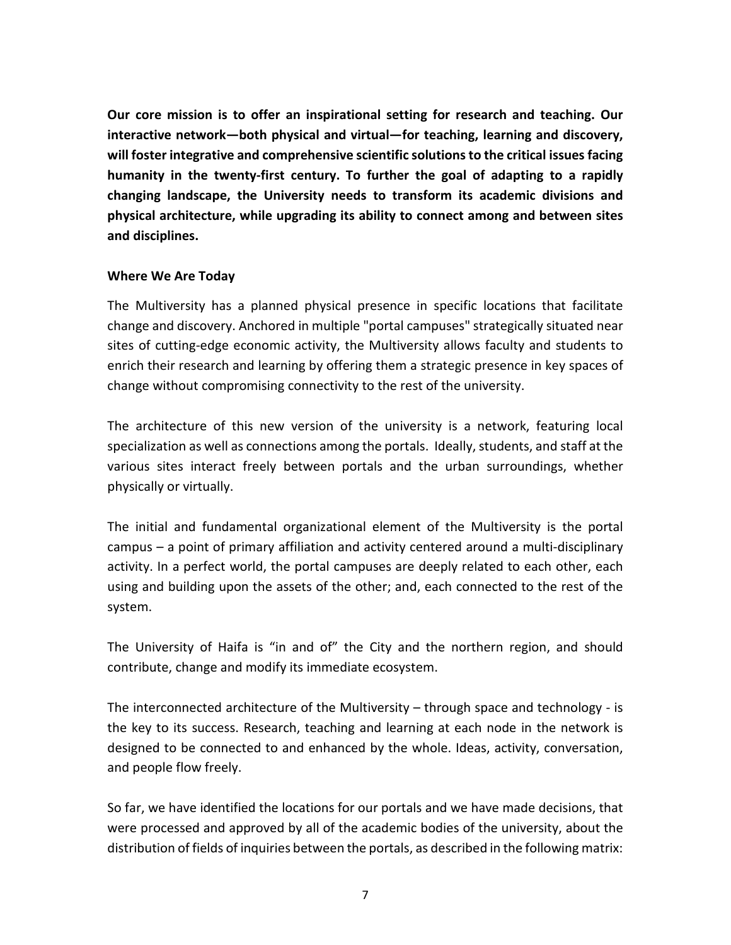**Our core mission is to offer an inspirational setting for research and teaching. Our interactive network—both physical and virtual—for teaching, learning and discovery, will foster integrative and comprehensive scientific solutions to the critical issues facing humanity in the twenty-first century. To further the goal of adapting to a rapidly changing landscape, the University needs to transform its academic divisions and physical architecture, while upgrading its ability to connect among and between sites and disciplines.**

### **Where We Are Today**

The Multiversity has a planned physical presence in specific locations that facilitate change and discovery. Anchored in multiple "portal campuses" strategically situated near sites of cutting-edge economic activity, the Multiversity allows faculty and students to enrich their research and learning by offering them a strategic presence in key spaces of change without compromising connectivity to the rest of the university.

The architecture of this new version of the university is a network, featuring local specialization as well as connections among the portals. Ideally, students, and staff at the various sites interact freely between portals and the urban surroundings, whether physically or virtually.

The initial and fundamental organizational element of the Multiversity is the portal campus – a point of primary affiliation and activity centered around a multi-disciplinary activity. In a perfect world, the portal campuses are deeply related to each other, each using and building upon the assets of the other; and, each connected to the rest of the system.

The University of Haifa is "in and of" the City and the northern region, and should contribute, change and modify its immediate ecosystem.

The interconnected architecture of the Multiversity – through space and technology - is the key to its success. Research, teaching and learning at each node in the network is designed to be connected to and enhanced by the whole. Ideas, activity, conversation, and people flow freely.

So far, we have identified the locations for our portals and we have made decisions, that were processed and approved by all of the academic bodies of the university, about the distribution of fields of inquiries between the portals, as described in the following matrix: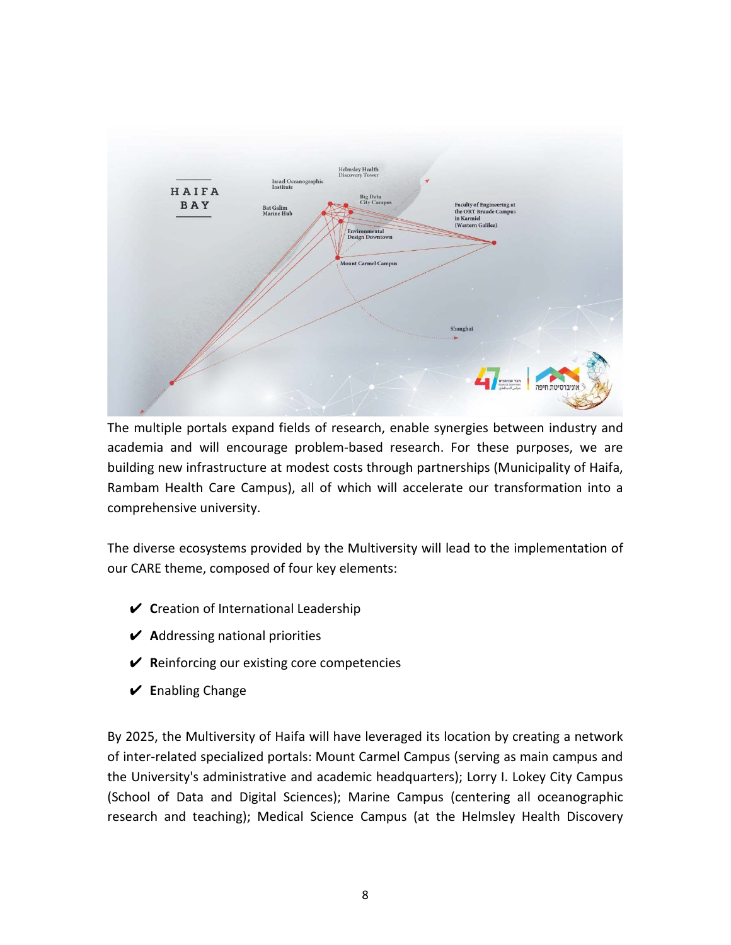

The multiple portals expand fields of research, enable synergies between industry and academia and will encourage problem-based research. For these purposes, we are building new infrastructure at modest costs through partnerships (Municipality of Haifa, Rambam Health Care Campus), all of which will accelerate our transformation into a comprehensive university.

The diverse ecosystems provided by the Multiversity will lead to the implementation of our CARE theme, composed of four key elements:

- ✔ **C**reation of International Leadership
- ✔ **A**ddressing national priorities
- ✔ **R**einforcing our existing core competencies
- ✔ **E**nabling Change

By 2025, the Multiversity of Haifa will have leveraged its location by creating a network of inter-related specialized portals: Mount Carmel Campus (serving as main campus and the University's administrative and academic headquarters); Lorry I. Lokey City Campus (School of Data and Digital Sciences); Marine Campus (centering all oceanographic research and teaching); Medical Science Campus (at the Helmsley Health Discovery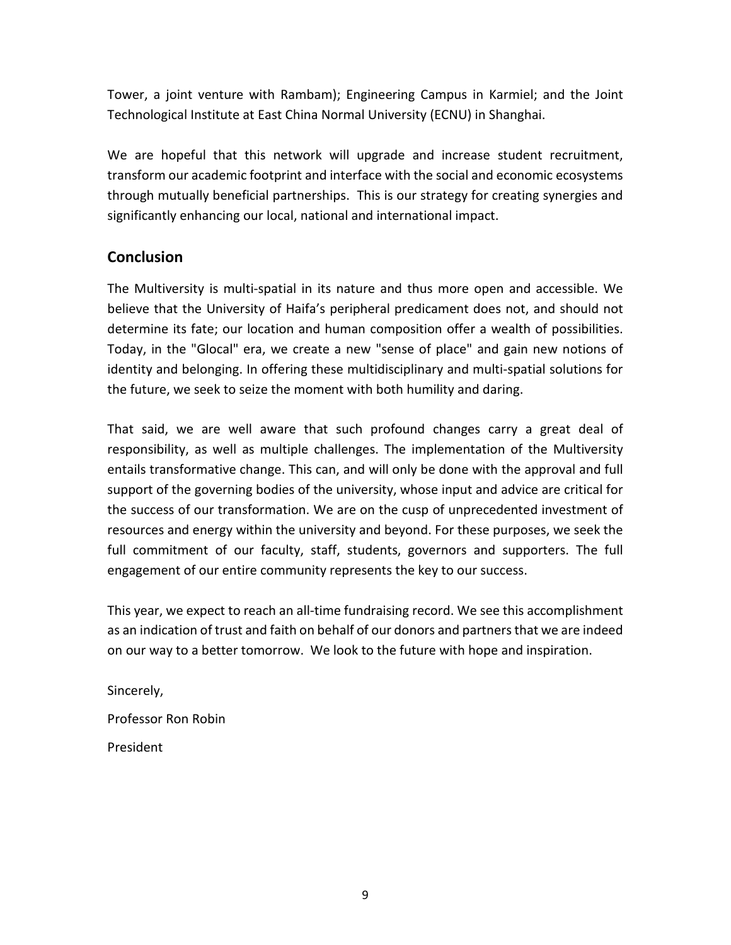Tower, a joint venture with Rambam); Engineering Campus in Karmiel; and the Joint Technological Institute at East China Normal University (ECNU) in Shanghai.

We are hopeful that this network will upgrade and increase student recruitment, transform our academic footprint and interface with the social and economic ecosystems through mutually beneficial partnerships. This is our strategy for creating synergies and significantly enhancing our local, national and international impact.

## **Conclusion**

The Multiversity is multi-spatial in its nature and thus more open and accessible. We believe that the University of Haifa's peripheral predicament does not, and should not determine its fate; our location and human composition offer a wealth of possibilities. Today, in the "Glocal" era, we create a new "sense of place" and gain new notions of identity and belonging. In offering these multidisciplinary and multi-spatial solutions for the future, we seek to seize the moment with both humility and daring.

That said, we are well aware that such profound changes carry a great deal of responsibility, as well as multiple challenges. The implementation of the Multiversity entails transformative change. This can, and will only be done with the approval and full support of the governing bodies of the university, whose input and advice are critical for the success of our transformation. We are on the cusp of unprecedented investment of resources and energy within the university and beyond. For these purposes, we seek the full commitment of our faculty, staff, students, governors and supporters. The full engagement of our entire community represents the key to our success.

This year, we expect to reach an all-time fundraising record. We see this accomplishment as an indication of trust and faith on behalf of our donors and partners that we are indeed on our way to a better tomorrow. We look to the future with hope and inspiration.

Sincerely, Professor Ron Robin President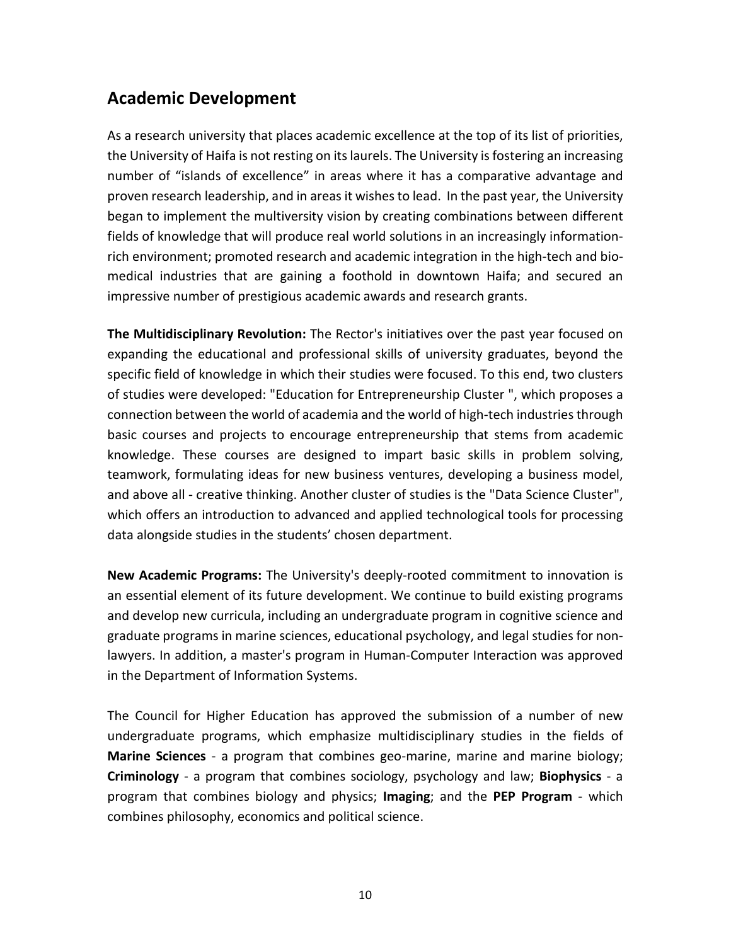# **Academic Development**

As a research university that places academic excellence at the top of its list of priorities, the University of Haifa is not resting on its laurels. The University is fostering an increasing number of "islands of excellence" in areas where it has a comparative advantage and proven research leadership, and in areas it wishes to lead. In the past year, the University began to implement the multiversity vision by creating combinations between different fields of knowledge that will produce real world solutions in an increasingly informationrich environment; promoted research and academic integration in the high-tech and biomedical industries that are gaining a foothold in downtown Haifa; and secured an impressive number of prestigious academic awards and research grants.

**The Multidisciplinary Revolution:** The Rector's initiatives over the past year focused on expanding the educational and professional skills of university graduates, beyond the specific field of knowledge in which their studies were focused. To this end, two clusters of studies were developed: "Education for Entrepreneurship Cluster ", which proposes a connection between the world of academia and the world of high-tech industries through basic courses and projects to encourage entrepreneurship that stems from academic knowledge. These courses are designed to impart basic skills in problem solving, teamwork, formulating ideas for new business ventures, developing a business model, and above all - creative thinking. Another cluster of studies is the "Data Science Cluster", which offers an introduction to advanced and applied technological tools for processing data alongside studies in the students' chosen department.

**New Academic Programs:** The University's deeply-rooted commitment to innovation is an essential element of its future development. We continue to build existing programs and develop new curricula, including an undergraduate program in cognitive science and graduate programs in marine sciences, educational psychology, and legal studies for nonlawyers. In addition, a master's program in Human-Computer Interaction was approved in the Department of Information Systems.

The Council for Higher Education has approved the submission of a number of new undergraduate programs, which emphasize multidisciplinary studies in the fields of **Marine Sciences** - a program that combines geo-marine, marine and marine biology; **Criminology** - a program that combines sociology, psychology and law; **Biophysics** - a program that combines biology and physics; **Imaging**; and the **PEP Program** - which combines philosophy, economics and political science.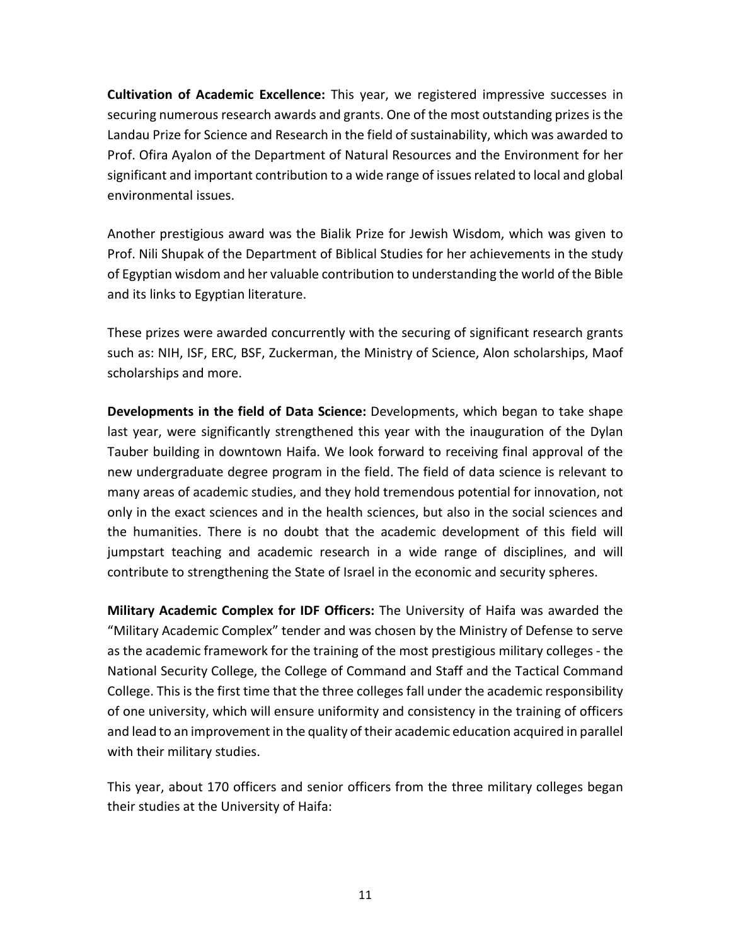**Cultivation of Academic Excellence:** This year, we registered impressive successes in securing numerous research awards and grants. One of the most outstanding prizes is the Landau Prize for Science and Research in the field of sustainability, which was awarded to Prof. Ofira Ayalon of the Department of Natural Resources and the Environment for her significant and important contribution to a wide range of issues related to local and global environmental issues.

Another prestigious award was the Bialik Prize for Jewish Wisdom, which was given to Prof. Nili Shupak of the Department of Biblical Studies for her achievements in the study of Egyptian wisdom and her valuable contribution to understanding the world of the Bible and its links to Egyptian literature.

These prizes were awarded concurrently with the securing of significant research grants such as: NIH, ISF, ERC, BSF, Zuckerman, the Ministry of Science, Alon scholarships, Maof scholarships and more.

**Developments in the field of Data Science:** Developments, which began to take shape last year, were significantly strengthened this year with the inauguration of the Dylan Tauber building in downtown Haifa. We look forward to receiving final approval of the new undergraduate degree program in the field. The field of data science is relevant to many areas of academic studies, and they hold tremendous potential for innovation, not only in the exact sciences and in the health sciences, but also in the social sciences and the humanities. There is no doubt that the academic development of this field will jumpstart teaching and academic research in a wide range of disciplines, and will contribute to strengthening the State of Israel in the economic and security spheres.

**Military Academic Complex for IDF Officers:** The University of Haifa was awarded the "Military Academic Complex" tender and was chosen by the Ministry of Defense to serve as the academic framework for the training of the most prestigious military colleges - the National Security College, the College of Command and Staff and the Tactical Command College. This is the first time that the three colleges fall under the academic responsibility of one university, which will ensure uniformity and consistency in the training of officers and lead to an improvement in the quality of their academic education acquired in parallel with their military studies.

This year, about 170 officers and senior officers from the three military colleges began their studies at the University of Haifa: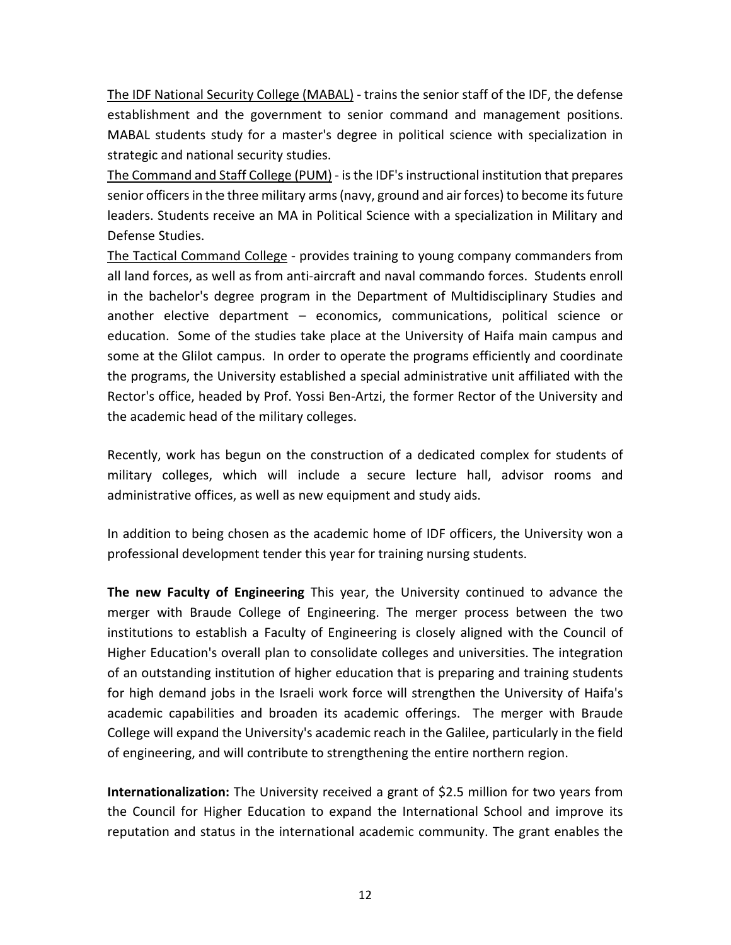The IDF National Security College (MABAL) - trains the senior staff of the IDF, the defense establishment and the government to senior command and management positions. MABAL students study for a master's degree in political science with specialization in strategic and national security studies.

The Command and Staff College (PUM) - is the IDF's instructional institution that prepares senior officers in the three military arms (navy, ground and air forces) to become its future leaders. Students receive an MA in Political Science with a specialization in Military and Defense Studies.

The Tactical Command College - provides training to young company commanders from all land forces, as well as from anti-aircraft and naval commando forces. Students enroll in the bachelor's degree program in the Department of Multidisciplinary Studies and another elective department – economics, communications, political science or education. Some of the studies take place at the University of Haifa main campus and some at the Glilot campus. In order to operate the programs efficiently and coordinate the programs, the University established a special administrative unit affiliated with the Rector's office, headed by Prof. Yossi Ben-Artzi, the former Rector of the University and the academic head of the military colleges.

Recently, work has begun on the construction of a dedicated complex for students of military colleges, which will include a secure lecture hall, advisor rooms and administrative offices, as well as new equipment and study aids.

In addition to being chosen as the academic home of IDF officers, the University won a professional development tender this year for training nursing students.

**The new Faculty of Engineering** This year, the University continued to advance the merger with Braude College of Engineering. The merger process between the two institutions to establish a Faculty of Engineering is closely aligned with the Council of Higher Education's overall plan to consolidate colleges and universities. The integration of an outstanding institution of higher education that is preparing and training students for high demand jobs in the Israeli work force will strengthen the University of Haifa's academic capabilities and broaden its academic offerings. The merger with Braude College will expand the University's academic reach in the Galilee, particularly in the field of engineering, and will contribute to strengthening the entire northern region.

**Internationalization:** The University received a grant of \$2.5 million for two years from the Council for Higher Education to expand the International School and improve its reputation and status in the international academic community. The grant enables the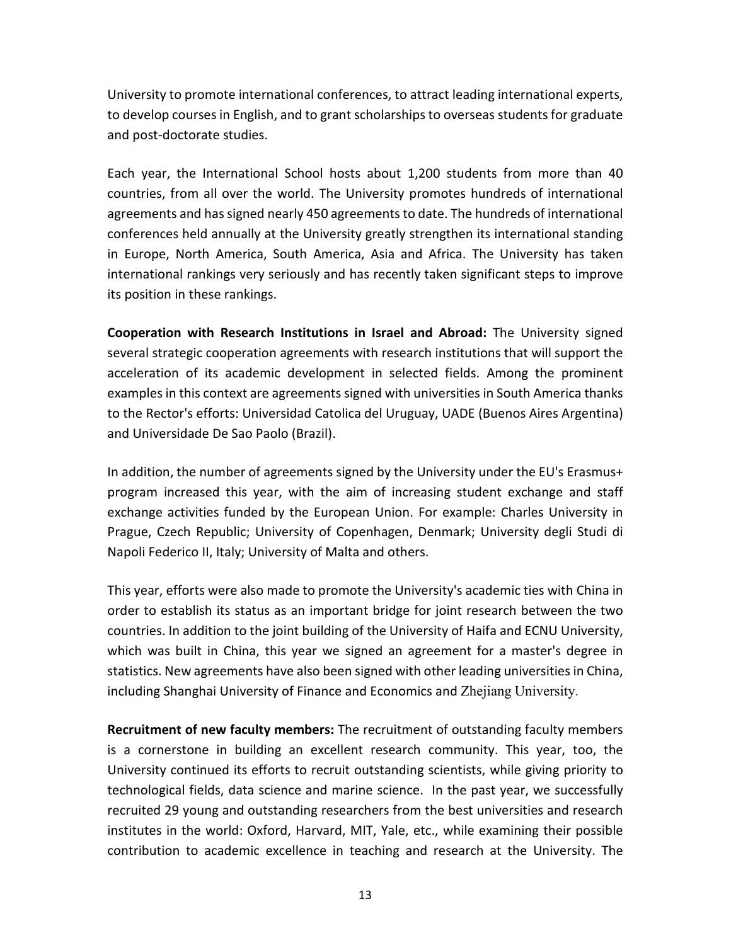University to promote international conferences, to attract leading international experts, to develop courses in English, and to grant scholarships to overseas students for graduate and post-doctorate studies.

Each year, the International School hosts about 1,200 students from more than 40 countries, from all over the world. The University promotes hundreds of international agreements and has signed nearly 450 agreements to date. The hundreds of international conferences held annually at the University greatly strengthen its international standing in Europe, North America, South America, Asia and Africa. The University has taken international rankings very seriously and has recently taken significant steps to improve its position in these rankings.

**Cooperation with Research Institutions in Israel and Abroad:** The University signed several strategic cooperation agreements with research institutions that will support the acceleration of its academic development in selected fields. Among the prominent examples in this context are agreements signed with universities in South America thanks to the Rector's efforts: Universidad Catolica del Uruguay, UADE (Buenos Aires Argentina) and Universidade De Sao Paolo (Brazil).

In addition, the number of agreements signed by the University under the EU's Erasmus+ program increased this year, with the aim of increasing student exchange and staff exchange activities funded by the European Union. For example: Charles University in Prague, Czech Republic; University of Copenhagen, Denmark; University degli Studi di Napoli Federico II, Italy; University of Malta and others.

This year, efforts were also made to promote the University's academic ties with China in order to establish its status as an important bridge for joint research between the two countries. In addition to the joint building of the University of Haifa and ECNU University, which was built in China, this year we signed an agreement for a master's degree in statistics. New agreements have also been signed with other leading universities in China, including Shanghai University of Finance and Economics and Zhejiang University.

**Recruitment of new faculty members:** The recruitment of outstanding faculty members is a cornerstone in building an excellent research community. This year, too, the University continued its efforts to recruit outstanding scientists, while giving priority to technological fields, data science and marine science. In the past year, we successfully recruited 29 young and outstanding researchers from the best universities and research institutes in the world: Oxford, Harvard, MIT, Yale, etc., while examining their possible contribution to academic excellence in teaching and research at the University. The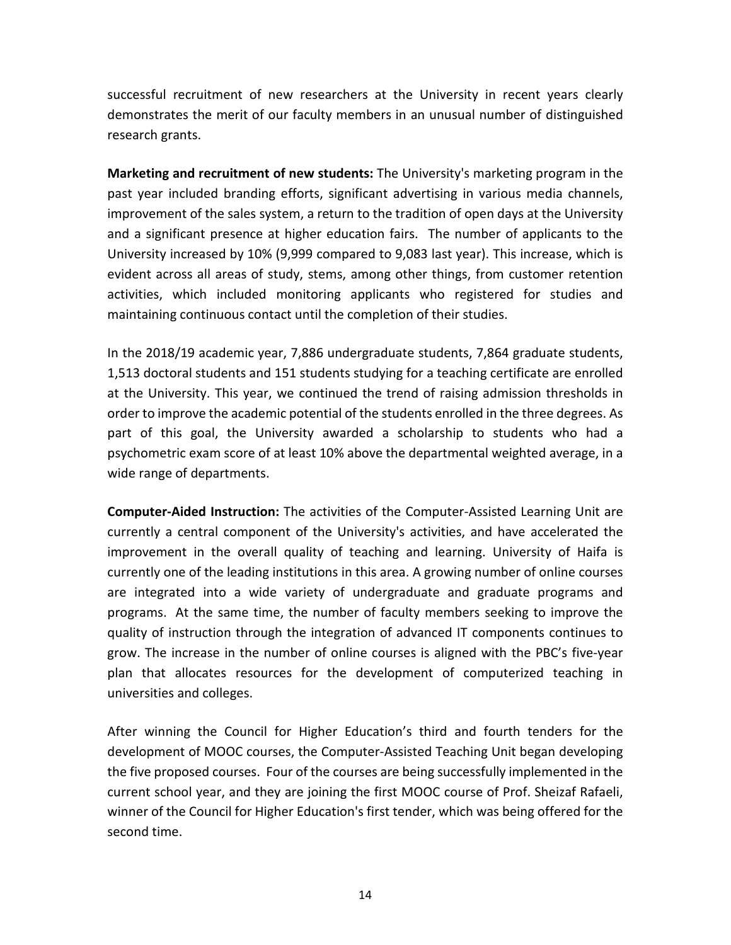successful recruitment of new researchers at the University in recent years clearly demonstrates the merit of our faculty members in an unusual number of distinguished research grants.

**Marketing and recruitment of new students:** The University's marketing program in the past year included branding efforts, significant advertising in various media channels, improvement of the sales system, a return to the tradition of open days at the University and a significant presence at higher education fairs. The number of applicants to the University increased by 10% (9,999 compared to 9,083 last year). This increase, which is evident across all areas of study, stems, among other things, from customer retention activities, which included monitoring applicants who registered for studies and maintaining continuous contact until the completion of their studies.

In the 2018/19 academic year, 7,886 undergraduate students, 7,864 graduate students, 1,513 doctoral students and 151 students studying for a teaching certificate are enrolled at the University. This year, we continued the trend of raising admission thresholds in order to improve the academic potential of the students enrolled in the three degrees. As part of this goal, the University awarded a scholarship to students who had a psychometric exam score of at least 10% above the departmental weighted average, in a wide range of departments.

**Computer-Aided Instruction:** The activities of the Computer-Assisted Learning Unit are currently a central component of the University's activities, and have accelerated the improvement in the overall quality of teaching and learning. University of Haifa is currently one of the leading institutions in this area. A growing number of online courses are integrated into a wide variety of undergraduate and graduate programs and programs. At the same time, the number of faculty members seeking to improve the quality of instruction through the integration of advanced IT components continues to grow. The increase in the number of online courses is aligned with the PBC's five-year plan that allocates resources for the development of computerized teaching in universities and colleges.

After winning the Council for Higher Education's third and fourth tenders for the development of MOOC courses, the Computer-Assisted Teaching Unit began developing the five proposed courses. Four of the courses are being successfully implemented in the current school year, and they are joining the first MOOC course of Prof. Sheizaf Rafaeli, winner of the Council for Higher Education's first tender, which was being offered for the second time.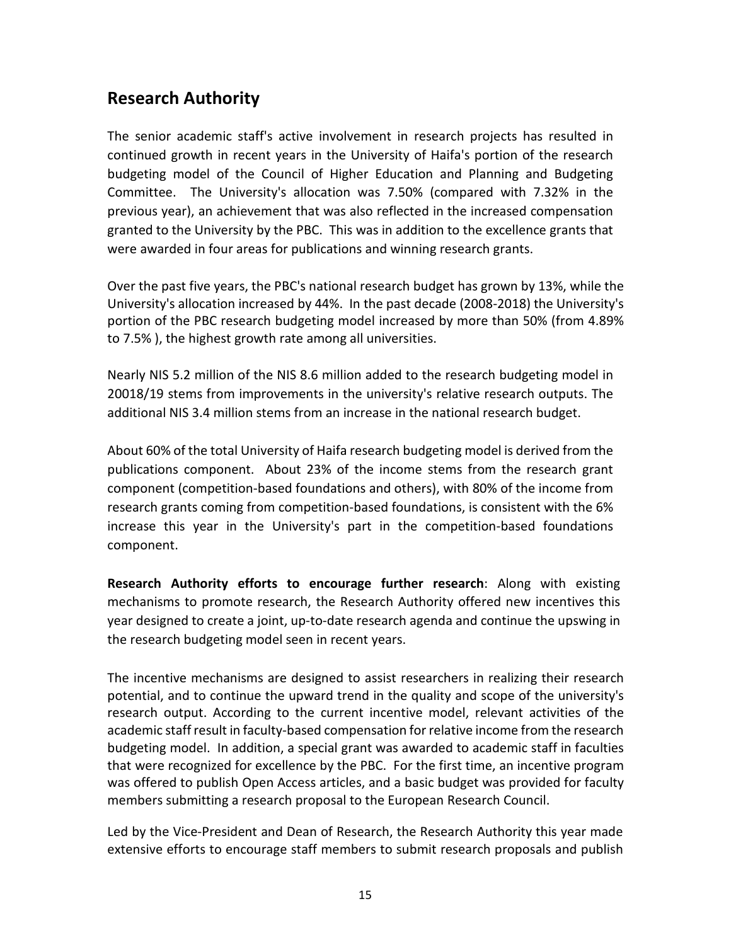# **Research Authority**

The senior academic staff's active involvement in research projects has resulted in continued growth in recent years in the University of Haifa's portion of the research budgeting model of the Council of Higher Education and Planning and Budgeting Committee. The University's allocation was 7.50% (compared with 7.32% in the previous year), an achievement that was also reflected in the increased compensation granted to the University by the PBC. This was in addition to the excellence grants that were awarded in four areas for publications and winning research grants.

Over the past five years, the PBC's national research budget has grown by 13%, while the University's allocation increased by 44%. In the past decade (2008-2018) the University's portion of the PBC research budgeting model increased by more than 50% (from 4.89% to 7.5% ), the highest growth rate among all universities.

Nearly NIS 5.2 million of the NIS 8.6 million added to the research budgeting model in 20018/19 stems from improvements in the university's relative research outputs. The additional NIS 3.4 million stems from an increase in the national research budget.

About 60% of the total University of Haifa research budgeting model is derived from the publications component. About 23% of the income stems from the research grant component (competition-based foundations and others), with 80% of the income from research grants coming from competition-based foundations, is consistent with the 6% increase this year in the University's part in the competition-based foundations component.

**Research Authority efforts to encourage further research**: Along with existing mechanisms to promote research, the Research Authority offered new incentives this year designed to create a joint, up-to-date research agenda and continue the upswing in the research budgeting model seen in recent years.

The incentive mechanisms are designed to assist researchers in realizing their research potential, and to continue the upward trend in the quality and scope of the university's research output. According to the current incentive model, relevant activities of the academic staff result in faculty-based compensation for relative income from the research budgeting model. In addition, a special grant was awarded to academic staff in faculties that were recognized for excellence by the PBC. For the first time, an incentive program was offered to publish Open Access articles, and a basic budget was provided for faculty members submitting a research proposal to the European Research Council.

Led by the Vice-President and Dean of Research, the Research Authority this year made extensive efforts to encourage staff members to submit research proposals and publish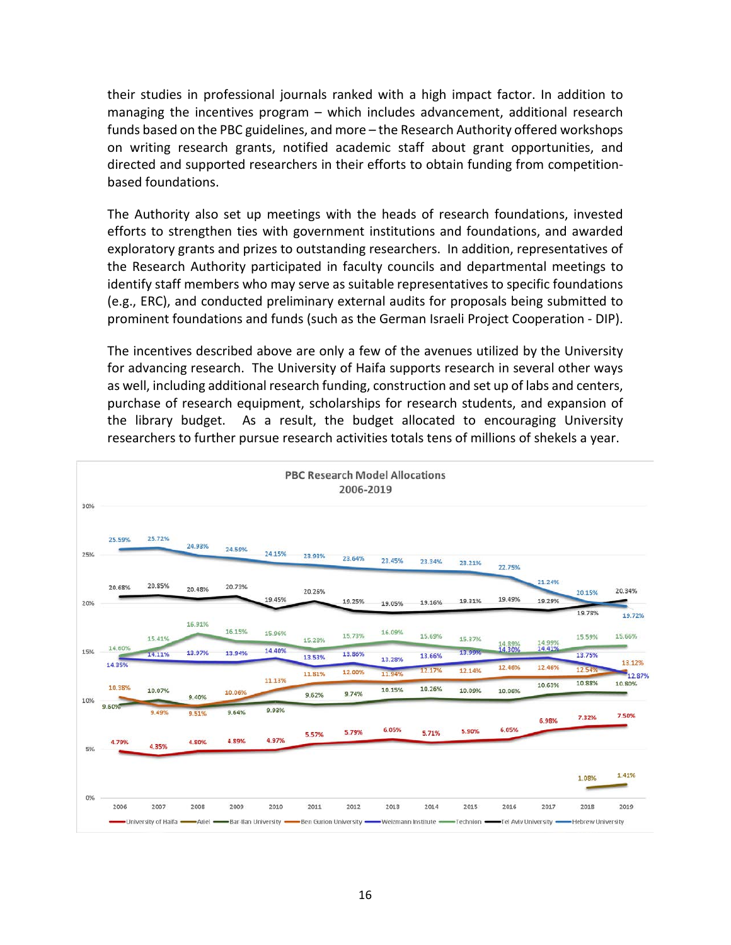their studies in professional journals ranked with a high impact factor. In addition to managing the incentives program – which includes advancement, additional research funds based on the PBC guidelines, and more – the Research Authority offered workshops on writing research grants, notified academic staff about grant opportunities, and directed and supported researchers in their efforts to obtain funding from competitionbased foundations.

The Authority also set up meetings with the heads of research foundations, invested efforts to strengthen ties with government institutions and foundations, and awarded exploratory grants and prizes to outstanding researchers. In addition, representatives of the Research Authority participated in faculty councils and departmental meetings to identify staff members who may serve as suitable representatives to specific foundations (e.g., ERC), and conducted preliminary external audits for proposals being submitted to prominent foundations and funds (such as the German Israeli Project Cooperation - DIP).

The incentives described above are only a few of the avenues utilized by the University for advancing research. The University of Haifa supports research in several other ways as well, including additional research funding, construction and set up of labs and centers, purchase of research equipment, scholarships for research students, and expansion of the library budget. As a result, the budget allocated to encouraging University researchers to further pursue research activities totals tens of millions of shekels a year.

| <b>PBC Research Model Allocations</b><br>2006-2019 |                  |        |                |                |                |        |        |        |        |        |                  |                                                                                                                                                                                                                                      |                  |                  |
|----------------------------------------------------|------------------|--------|----------------|----------------|----------------|--------|--------|--------|--------|--------|------------------|--------------------------------------------------------------------------------------------------------------------------------------------------------------------------------------------------------------------------------------|------------------|------------------|
| 30%                                                | 25.59%           | 25.72% |                |                |                |        |        |        |        |        |                  |                                                                                                                                                                                                                                      |                  |                  |
| 25%                                                |                  |        | 24.93%         | 24.59%         | 24.15%         | 23.93% | 23.64% | 23.45% | 23.34% | 23.21% | 22.75%           |                                                                                                                                                                                                                                      |                  |                  |
| 20%                                                | 20.68%           | 20.85% | 20.48%         | 20.73%         | 19.45%         | 20.26% | 19.25% | 19.05% | 19.16% | 19.31% | 19.49%           | 21.24%<br>19.29%                                                                                                                                                                                                                     | 20.15%           | 20.34%           |
|                                                    |                  | 15.41% | 16.91%         | 16.15%         | 15.96%         | 15.28% | 15.73% | 16.09% | 15.69% | 15.37% |                  | 14.99%                                                                                                                                                                                                                               | 19.78%<br>15.59% | 19.72%<br>15.66% |
| 15%                                                | 14.60%<br>14.35% | 14.11% | 13.97%         | 13.94%         | 14.40%         | 13.53% | 13.86% | 13.28% | 13.66% | 13.99% | 14.89%<br>14.30% | 14.41%                                                                                                                                                                                                                               | 13.75%           | 13.12%           |
|                                                    | 10.38%           |        |                |                | 11.13%         | 11.81% | 12.00% | 11.94% | 12.17% | 12.14% | 12.46%           | 12.46%<br>10.63%                                                                                                                                                                                                                     | 12.54%<br>10.88% | 12.87%<br>10.80% |
| 10%                                                | 9.60%            | 10.07% | 9.40%          | 10.06%         |                | 9.62%  | 9.74%  | 10.15% | 10.26% | 10.09% | 10.06%           |                                                                                                                                                                                                                                      |                  |                  |
|                                                    | 4.79%            | 9.49%  | 9.51%<br>4.80% | 9.64%<br>4.89% | 9.93%<br>4.97% | 5.57%  | 5.79%  | 6.05%  | 5.71%  | 5.90%  | 6.05%            | 6.98%                                                                                                                                                                                                                                | 7.32%            | 7.50%            |
| 5%                                                 |                  | 4.35%  |                |                |                |        |        |        |        |        |                  |                                                                                                                                                                                                                                      | 1.08%            | 1.41%            |
| 0%                                                 | 2006             | 2007   | 2008           | 2009           | 2010           | 2011   | 2012   | 2013   | 2014   | 2015   | 2016             | 2017                                                                                                                                                                                                                                 | 2018             | 2019             |
|                                                    |                  |        |                |                |                |        |        |        |        |        |                  | University of Haifa <a>Ariel <a>Ariel <a>Bar-Ilan University <a>Ben Gurion University <a> Weizmann Institute <a><a>Technion</a> <a>TeChnion</a></a>TeChnion</a></a>TeChnion</a></a>TeChnion</a> TeChnionTeChnion <td></td> <td></td> |                  |                  |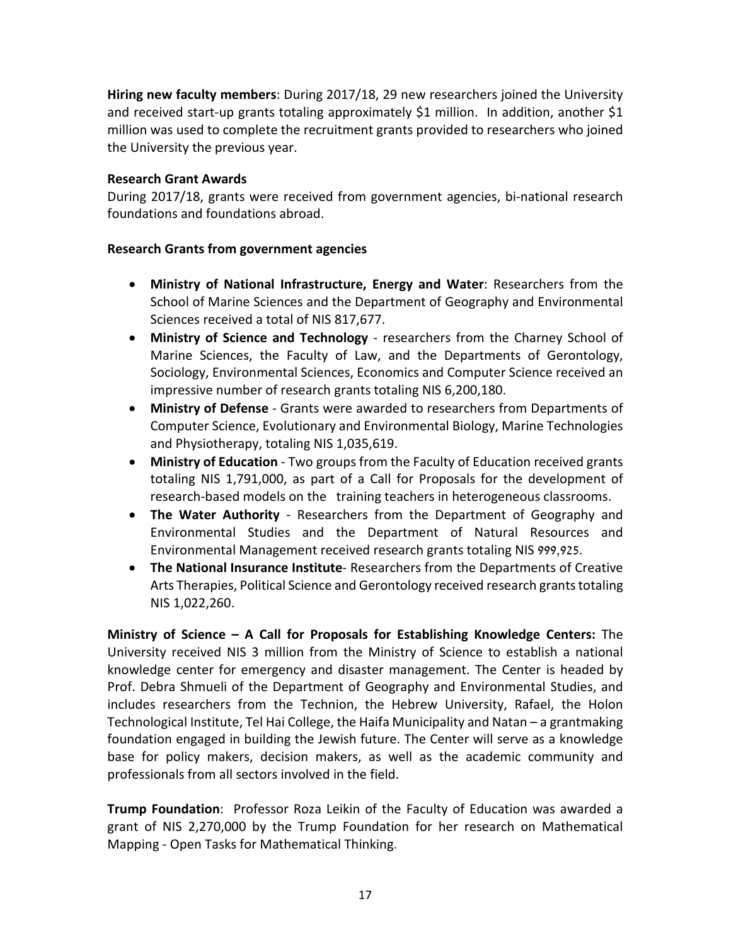**Hiring new faculty members**: During 2017/18, 29 new researchers joined the University and received start-up grants totaling approximately \$1 million. In addition, another \$1 million was used to complete the recruitment grants provided to researchers who joined the University the previous year.

### **Research Grant Awards**

During 2017/18, grants were received from government agencies, bi-national research foundations and foundations abroad.

### **Research Grants from government agencies**

- **Ministry of National Infrastructure, Energy and Water**: Researchers from the School of Marine Sciences and the Department of Geography and Environmental Sciences received a total of NIS 817,677.
- **Ministry of Science and Technology** researchers from the Charney School of Marine Sciences, the Faculty of Law, and the Departments of Gerontology, Sociology, Environmental Sciences, Economics and Computer Science received an impressive number of research grants totaling NIS 6,200,180.
- **Ministry of Defense**  Grants were awarded to researchers from Departments of Computer Science, Evolutionary and Environmental Biology, Marine Technologies and Physiotherapy, totaling NIS 1,035,619.
- **Ministry of Education** Two groups from the Faculty of Education received grants totaling NIS 1,791,000, as part of a Call for Proposals for the development of research-based models on the training teachers in heterogeneous classrooms.
- **The Water Authority** Researchers from the Department of Geography and Environmental Studies and the Department of Natural Resources and Environmental Management received research grants totaling NIS 999,925.
- **The National Insurance Institute** Researchers from the Departments of Creative Arts Therapies, Political Science and Gerontology received research grants totaling NIS 1,022,260.

**Ministry of Science – A Call for Proposals for Establishing Knowledge Centers:** The University received NIS 3 million from the Ministry of Science to establish a national knowledge center for emergency and disaster management. The Center is headed by Prof. Debra Shmueli of the Department of Geography and Environmental Studies, and includes researchers from the Technion, the Hebrew University, Rafael, the Holon Technological Institute, Tel Hai College, the Haifa Municipality and Natan – a grantmaking foundation engaged in building the Jewish future. The Center will serve as a knowledge base for policy makers, decision makers, as well as the academic community and professionals from all sectors involved in the field.

**Trump Foundation**: Professor Roza Leikin of the Faculty of Education was awarded a grant of NIS 2,270,000 by the Trump Foundation for her research on Mathematical Mapping - Open Tasks for Mathematical Thinking.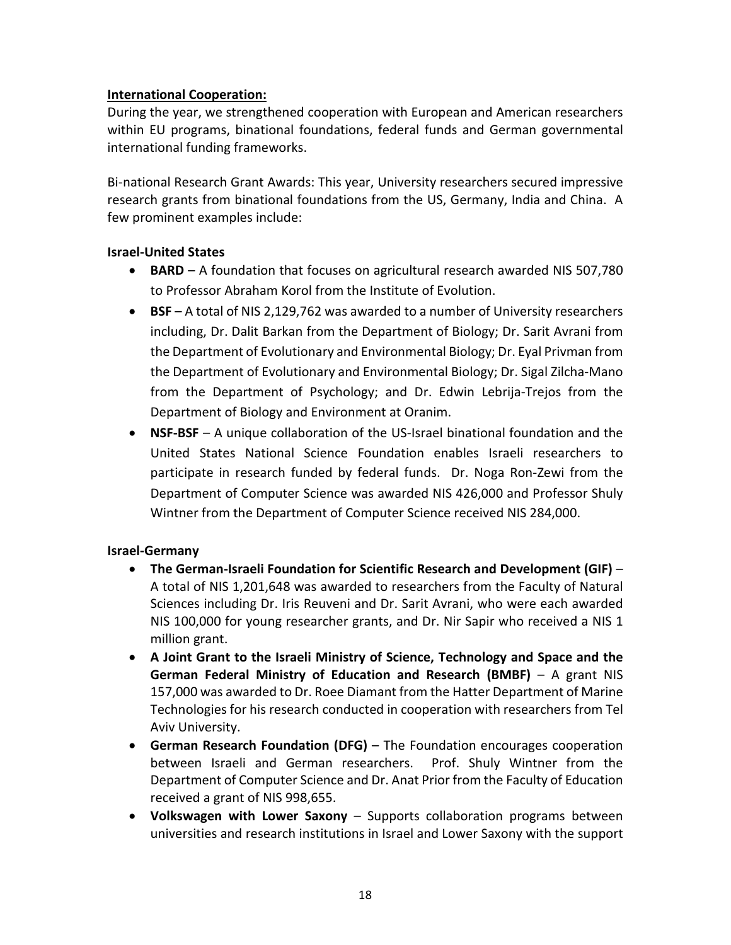### **International Cooperation:**

During the year, we strengthened cooperation with European and American researchers within EU programs, binational foundations, federal funds and German governmental international funding frameworks.

Bi-national Research Grant Awards: This year, University researchers secured impressive research grants from binational foundations from the US, Germany, India and China. A few prominent examples include:

### **Israel-United States**

- **BARD** A foundation that focuses on agricultural research awarded NIS 507,780 to Professor Abraham Korol from the Institute of Evolution.
- **BSF**  A total of NIS 2,129,762 was awarded to a number of University researchers including, Dr. Dalit Barkan from the Department of Biology; Dr. Sarit Avrani from the Department of Evolutionary and Environmental Biology; Dr. Eyal Privman from the Department of Evolutionary and Environmental Biology; Dr. Sigal Zilcha-Mano from the Department of Psychology; and Dr. Edwin Lebrija-Trejos from the Department of Biology and Environment at Oranim.
- **NSF-BSF** A unique collaboration of the US-Israel binational foundation and the United States National Science Foundation enables Israeli researchers to participate in research funded by federal funds. Dr. Noga Ron-Zewi from the Department of Computer Science was awarded NIS 426,000 and Professor Shuly Wintner from the Department of Computer Science received NIS 284,000.

### **Israel-Germany**

- **The German-Israeli Foundation for Scientific Research and Development (GIF)** A total of NIS 1,201,648 was awarded to researchers from the Faculty of Natural Sciences including Dr. Iris Reuveni and Dr. Sarit Avrani, who were each awarded NIS 100,000 for young researcher grants, and Dr. Nir Sapir who received a NIS 1 million grant.
- **A Joint Grant to the Israeli Ministry of Science, Technology and Space and the German Federal Ministry of Education and Research (BMBF)** – A grant NIS 157,000 was awarded to Dr. Roee Diamant from the Hatter Department of Marine Technologies for his research conducted in cooperation with researchers from Tel Aviv University.
- **German Research Foundation (DFG)** The Foundation encourages cooperation between Israeli and German researchers. Prof. Shuly Wintner from the Department of Computer Science and Dr. Anat Prior from the Faculty of Education received a grant of NIS 998,655.
- **Volkswagen with Lower Saxony**  Supports collaboration programs between universities and research institutions in Israel and Lower Saxony with the support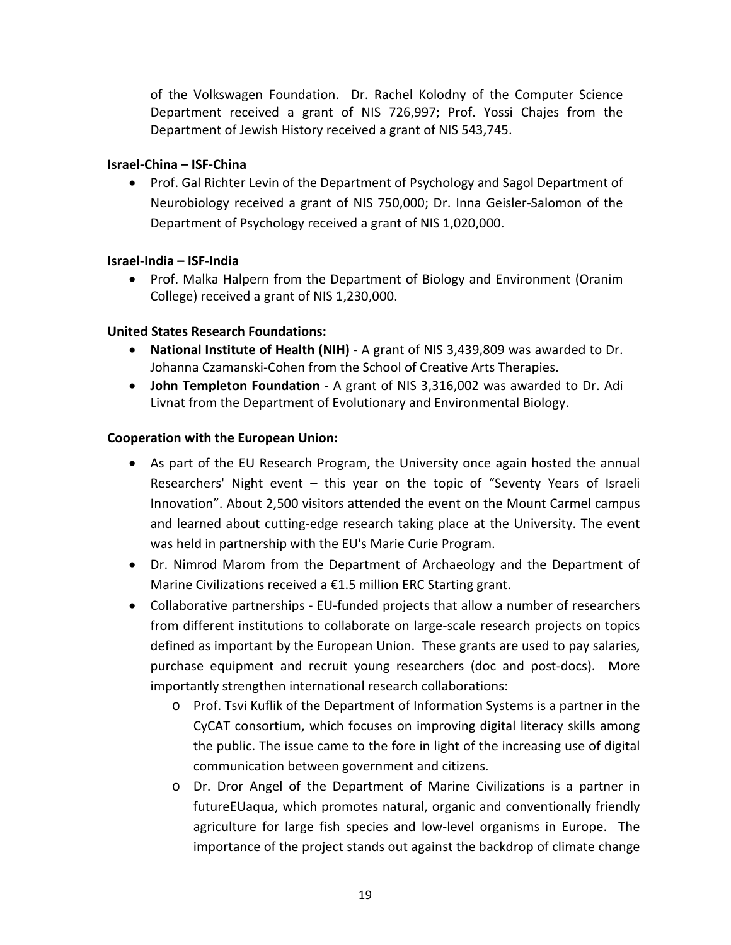of the Volkswagen Foundation. Dr. Rachel Kolodny of the Computer Science Department received a grant of NIS 726,997; Prof. Yossi Chajes from the Department of Jewish History received a grant of NIS 543,745.

### **Israel-China – ISF-China**

• Prof. Gal Richter Levin of the Department of Psychology and Sagol Department of Neurobiology received a grant of NIS 750,000; Dr. Inna Geisler-Salomon of the Department of Psychology received a grant of NIS 1,020,000.

### **Israel-India – ISF-India**

• Prof. Malka Halpern from the Department of Biology and Environment (Oranim College) received a grant of NIS 1,230,000.

### **United States Research Foundations:**

- **National Institute of Health (NIH)** A grant of NIS 3,439,809 was awarded to Dr. Johanna Czamanski-Cohen from the School of Creative Arts Therapies.
- **John Templeton Foundation** A grant of NIS 3,316,002 was awarded to Dr. Adi Livnat from the Department of Evolutionary and Environmental Biology.

### **Cooperation with the European Union:**

- As part of the EU Research Program, the University once again hosted the annual Researchers' Night event – this year on the topic of "Seventy Years of Israeli Innovation". About 2,500 visitors attended the event on the Mount Carmel campus and learned about cutting-edge research taking place at the University. The event was held in partnership with the EU's Marie Curie Program.
- Dr. Nimrod Marom from the Department of Archaeology and the Department of Marine Civilizations received a €1.5 million ERC Starting grant.
- Collaborative partnerships EU-funded projects that allow a number of researchers from different institutions to collaborate on large-scale research projects on topics defined as important by the European Union. These grants are used to pay salaries, purchase equipment and recruit young researchers (doc and post-docs). More importantly strengthen international research collaborations:
	- o Prof. Tsvi Kuflik of the Department of Information Systems is a partner in the CyCAT consortium, which focuses on improving digital literacy skills among the public. The issue came to the fore in light of the increasing use of digital communication between government and citizens.
	- o Dr. Dror Angel of the Department of Marine Civilizations is a partner in futureEUaqua, which promotes natural, organic and conventionally friendly agriculture for large fish species and low-level organisms in Europe. The importance of the project stands out against the backdrop of climate change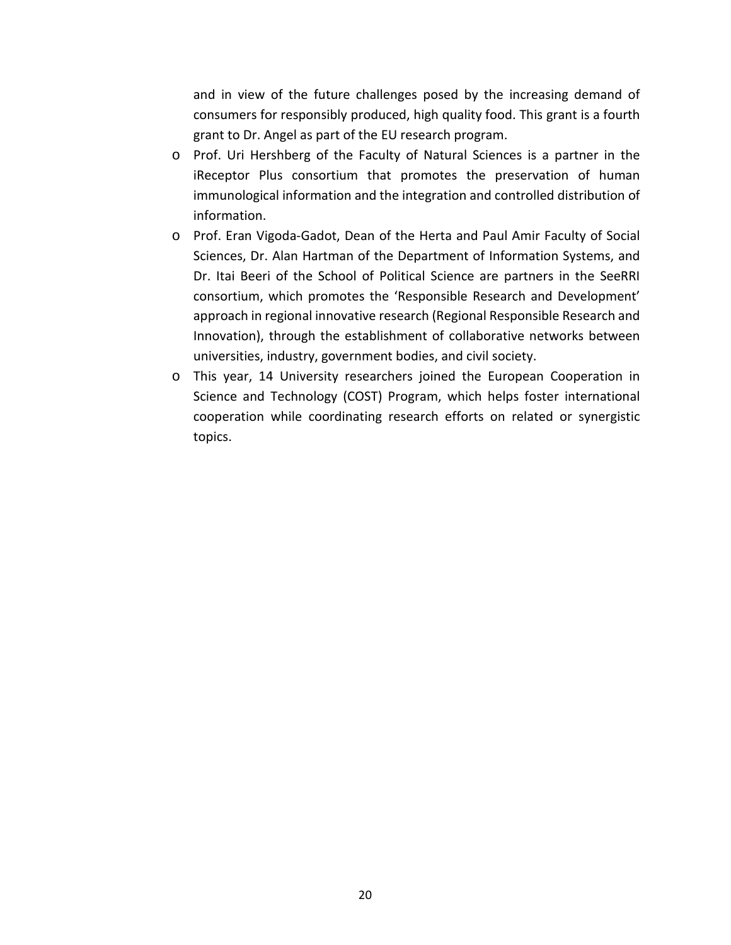and in view of the future challenges posed by the increasing demand of consumers for responsibly produced, high quality food. This grant is a fourth grant to Dr. Angel as part of the EU research program.

- o Prof. Uri Hershberg of the Faculty of Natural Sciences is a partner in the iReceptor Plus consortium that promotes the preservation of human immunological information and the integration and controlled distribution of information.
- o Prof. Eran Vigoda-Gadot, Dean of the Herta and Paul Amir Faculty of Social Sciences, Dr. Alan Hartman of the Department of Information Systems, and Dr. Itai Beeri of the School of Political Science are partners in the SeeRRI consortium, which promotes the 'Responsible Research and Development' approach in regional innovative research (Regional Responsible Research and Innovation), through the establishment of collaborative networks between universities, industry, government bodies, and civil society.
- o This year, 14 University researchers joined the European Cooperation in Science and Technology (COST) Program, which helps foster international cooperation while coordinating research efforts on related or synergistic topics.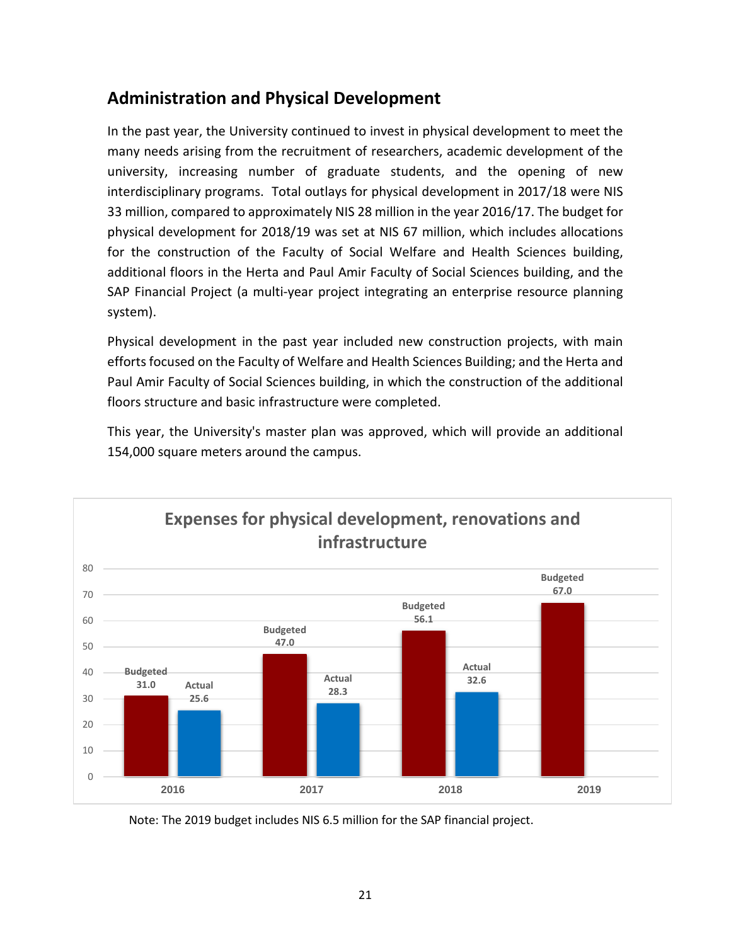# **Administration and Physical Development**

In the past year, the University continued to invest in physical development to meet the many needs arising from the recruitment of researchers, academic development of the university, increasing number of graduate students, and the opening of new interdisciplinary programs. Total outlays for physical development in 2017/18 were NIS 33 million, compared to approximately NIS 28 million in the year 2016/17. The budget for physical development for 2018/19 was set at NIS 67 million, which includes allocations for the construction of the Faculty of Social Welfare and Health Sciences building, additional floors in the Herta and Paul Amir Faculty of Social Sciences building, and the SAP Financial Project (a multi-year project integrating an enterprise resource planning system).

Physical development in the past year included new construction projects, with main efforts focused on the Faculty of Welfare and Health Sciences Building; and the Herta and Paul Amir Faculty of Social Sciences building, in which the construction of the additional floors structure and basic infrastructure were completed.

This year, the University's master plan was approved, which will provide an additional 154,000 square meters around the campus.



Note: The 2019 budget includes NIS 6.5 million for the SAP financial project.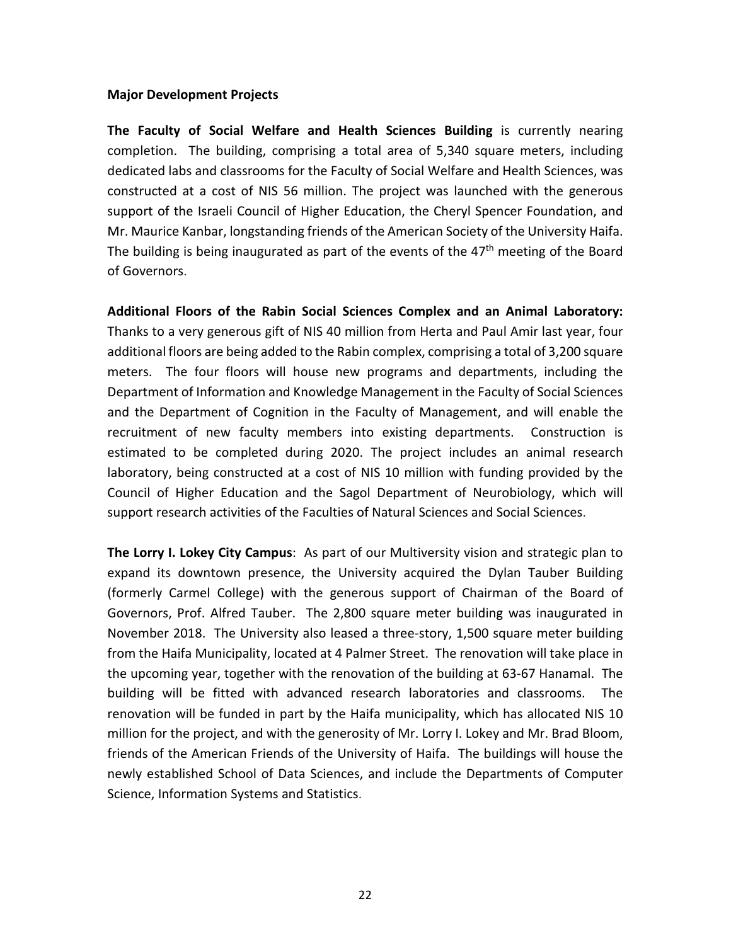#### **Major Development Projects**

**The Faculty of Social Welfare and Health Sciences Building** is currently nearing completion. The building, comprising a total area of 5,340 square meters, including dedicated labs and classrooms for the Faculty of Social Welfare and Health Sciences, was constructed at a cost of NIS 56 million. The project was launched with the generous support of the Israeli Council of Higher Education, the Cheryl Spencer Foundation, and Mr. Maurice Kanbar, longstanding friends of the American Society of the University Haifa. The building is being inaugurated as part of the events of the  $47<sup>th</sup>$  meeting of the Board of Governors.

**Additional Floors of the Rabin Social Sciences Complex and an Animal Laboratory:** Thanks to a very generous gift of NIS 40 million from Herta and Paul Amir last year, four additional floors are being added to the Rabin complex, comprising a total of 3,200 square meters. The four floors will house new programs and departments, including the Department of Information and Knowledge Management in the Faculty of Social Sciences and the Department of Cognition in the Faculty of Management, and will enable the recruitment of new faculty members into existing departments. Construction is estimated to be completed during 2020. The project includes an animal research laboratory, being constructed at a cost of NIS 10 million with funding provided by the Council of Higher Education and the Sagol Department of Neurobiology, which will support research activities of the Faculties of Natural Sciences and Social Sciences.

**The Lorry I. Lokey City Campus**: As part of our Multiversity vision and strategic plan to expand its downtown presence, the University acquired the Dylan Tauber Building (formerly Carmel College) with the generous support of Chairman of the Board of Governors, Prof. Alfred Tauber. The 2,800 square meter building was inaugurated in November 2018. The University also leased a three-story, 1,500 square meter building from the Haifa Municipality, located at 4 Palmer Street. The renovation will take place in the upcoming year, together with the renovation of the building at 63-67 Hanamal. The building will be fitted with advanced research laboratories and classrooms. The renovation will be funded in part by the Haifa municipality, which has allocated NIS 10 million for the project, and with the generosity of Mr. Lorry I. Lokey and Mr. Brad Bloom, friends of the American Friends of the University of Haifa. The buildings will house the newly established School of Data Sciences, and include the Departments of Computer Science, Information Systems and Statistics.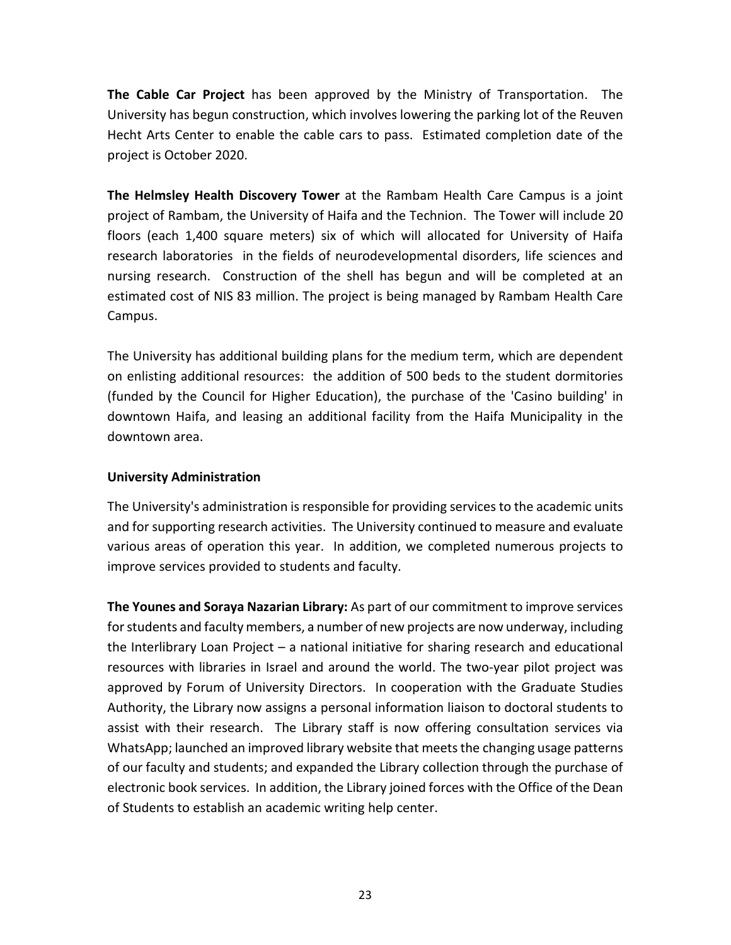**The Cable Car Project** has been approved by the Ministry of Transportation. The University has begun construction, which involves lowering the parking lot of the Reuven Hecht Arts Center to enable the cable cars to pass. Estimated completion date of the project is October 2020.

**The Helmsley Health Discovery Tower** at the Rambam Health Care Campus is a joint project of Rambam, the University of Haifa and the Technion. The Tower will include 20 floors (each 1,400 square meters) six of which will allocated for University of Haifa research laboratories in the fields of neurodevelopmental disorders, life sciences and nursing research. Construction of the shell has begun and will be completed at an estimated cost of NIS 83 million. The project is being managed by Rambam Health Care Campus.

The University has additional building plans for the medium term, which are dependent on enlisting additional resources: the addition of 500 beds to the student dormitories (funded by the Council for Higher Education), the purchase of the 'Casino building' in downtown Haifa, and leasing an additional facility from the Haifa Municipality in the downtown area.

### **University Administration**

The University's administration is responsible for providing services to the academic units and for supporting research activities. The University continued to measure and evaluate various areas of operation this year. In addition, we completed numerous projects to improve services provided to students and faculty.

**The Younes and Soraya Nazarian Library:** As part of our commitment to improve services for students and faculty members, a number of new projects are now underway, including the Interlibrary Loan Project – a national initiative for sharing research and educational resources with libraries in Israel and around the world. The two-year pilot project was approved by Forum of University Directors. In cooperation with the Graduate Studies Authority, the Library now assigns a personal information liaison to doctoral students to assist with their research. The Library staff is now offering consultation services via WhatsApp; launched an improved library website that meets the changing usage patterns of our faculty and students; and expanded the Library collection through the purchase of electronic book services. In addition, the Library joined forces with the Office of the Dean of Students to establish an academic writing help center.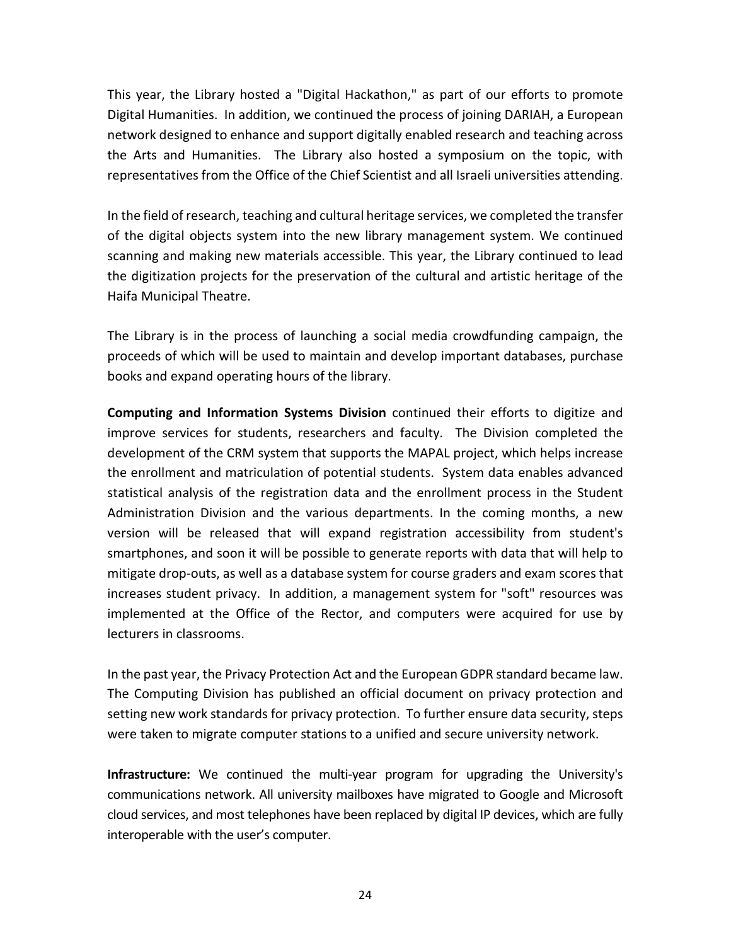This year, the Library hosted a "Digital Hackathon," as part of our efforts to promote Digital Humanities. In addition, we continued the process of joining DARIAH, a European network designed to enhance and support digitally enabled research and teaching across the Arts and Humanities. The Library also hosted a symposium on the topic, with representatives from the Office of the Chief Scientist and all Israeli universities attending.

In the field of research, teaching and cultural heritage services, we completed the transfer of the digital objects system into the new library management system. We continued scanning and making new materials accessible. This year, the Library continued to lead the digitization projects for the preservation of the cultural and artistic heritage of the Haifa Municipal Theatre.

The Library is in the process of launching a social media crowdfunding campaign, the proceeds of which will be used to maintain and develop important databases, purchase books and expand operating hours of the library.

**Computing and Information Systems Division** continued their efforts to digitize and improve services for students, researchers and faculty. The Division completed the development of the CRM system that supports the MAPAL project, which helps increase the enrollment and matriculation of potential students. System data enables advanced statistical analysis of the registration data and the enrollment process in the Student Administration Division and the various departments. In the coming months, a new version will be released that will expand registration accessibility from student's smartphones, and soon it will be possible to generate reports with data that will help to mitigate drop-outs, as well as a database system for course graders and exam scores that increases student privacy. In addition, a management system for "soft" resources was implemented at the Office of the Rector, and computers were acquired for use by lecturers in classrooms.

In the past year, the Privacy Protection Act and the European GDPR standard became law. The Computing Division has published an official document on privacy protection and setting new work standards for privacy protection. To further ensure data security, steps were taken to migrate computer stations to a unified and secure university network.

**Infrastructure:** We continued the multi-year program for upgrading the University's communications network. All university mailboxes have migrated to Google and Microsoft cloud services, and most telephones have been replaced by digital IP devices, which are fully interoperable with the user's computer.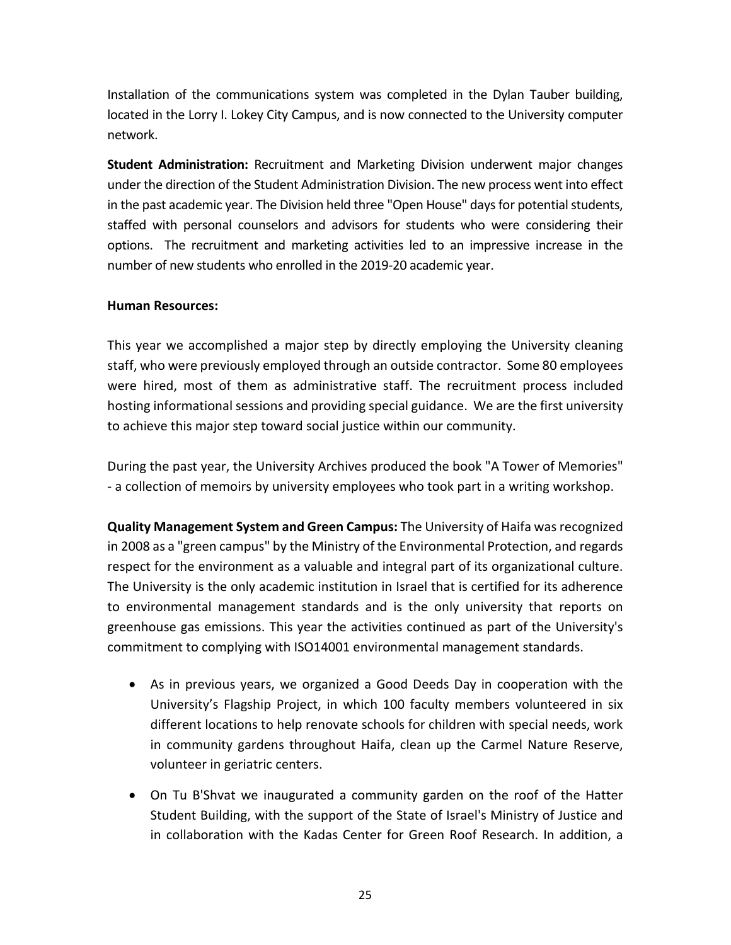Installation of the communications system was completed in the Dylan Tauber building, located in the Lorry I. Lokey City Campus, and is now connected to the University computer network.

**Student Administration:** Recruitment and Marketing Division underwent major changes under the direction of the Student Administration Division. The new process went into effect in the past academic year. The Division held three "Open House" days for potential students, staffed with personal counselors and advisors for students who were considering their options. The recruitment and marketing activities led to an impressive increase in the number of new students who enrolled in the 2019-20 academic year.

### **Human Resources:**

This year we accomplished a major step by directly employing the University cleaning staff, who were previously employed through an outside contractor. Some 80 employees were hired, most of them as administrative staff. The recruitment process included hosting informational sessions and providing special guidance. We are the first university to achieve this major step toward social justice within our community.

During the past year, the University Archives produced the book "A Tower of Memories" - a collection of memoirs by university employees who took part in a writing workshop.

**Quality Management System and Green Campus:** The University of Haifa was recognized in 2008 as a "green campus" by the Ministry of the Environmental Protection, and regards respect for the environment as a valuable and integral part of its organizational culture. The University is the only academic institution in Israel that is certified for its adherence to environmental management standards and is the only university that reports on greenhouse gas emissions. This year the activities continued as part of the University's commitment to complying with ISO14001 environmental management standards.

- As in previous years, we organized a Good Deeds Day in cooperation with the University's Flagship Project, in which 100 faculty members volunteered in six different locations to help renovate schools for children with special needs, work in community gardens throughout Haifa, clean up the Carmel Nature Reserve, volunteer in geriatric centers.
- On Tu B'Shvat we inaugurated a community garden on the roof of the Hatter Student Building, with the support of the State of Israel's Ministry of Justice and in collaboration with the Kadas Center for Green Roof Research. In addition, a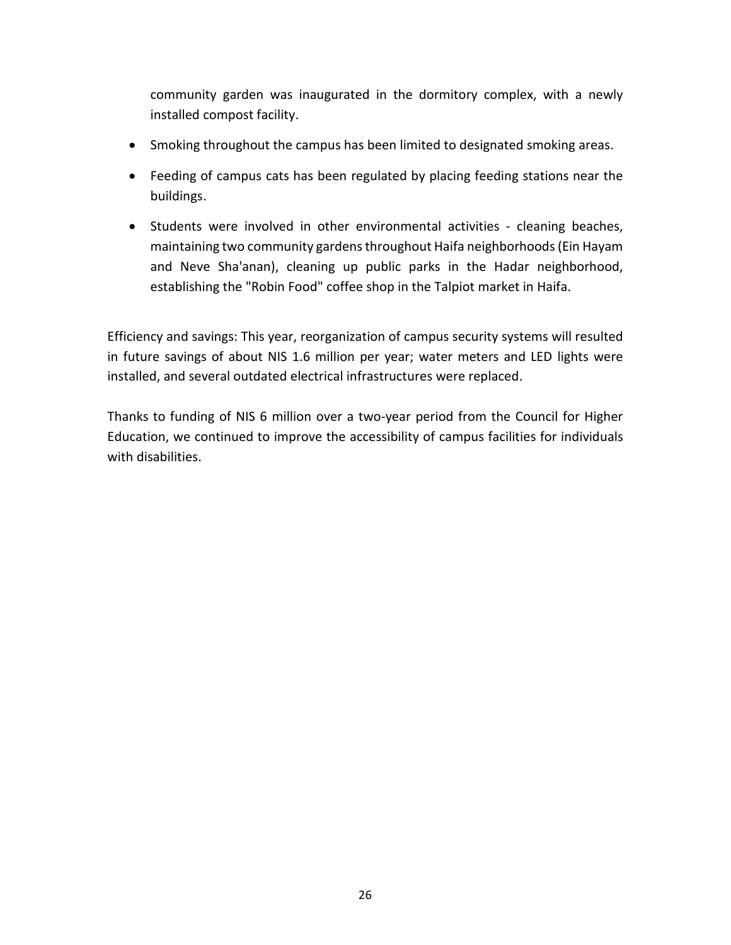community garden was inaugurated in the dormitory complex, with a newly installed compost facility.

- Smoking throughout the campus has been limited to designated smoking areas.
- Feeding of campus cats has been regulated by placing feeding stations near the buildings.
- Students were involved in other environmental activities cleaning beaches, maintaining two community gardens throughout Haifa neighborhoods (Ein Hayam and Neve Sha'anan), cleaning up public parks in the Hadar neighborhood, establishing the "Robin Food" coffee shop in the Talpiot market in Haifa.

Efficiency and savings: This year, reorganization of campus security systems will resulted in future savings of about NIS 1.6 million per year; water meters and LED lights were installed, and several outdated electrical infrastructures were replaced.

Thanks to funding of NIS 6 million over a two-year period from the Council for Higher Education, we continued to improve the accessibility of campus facilities for individuals with disabilities.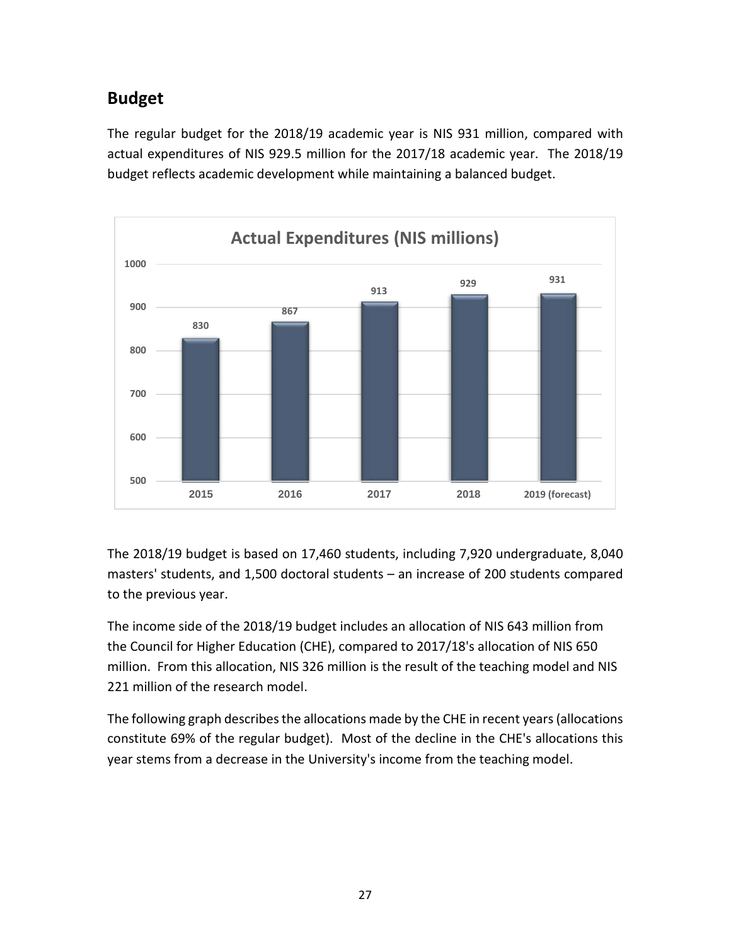# **Budget**

The regular budget for the 2018/19 academic year is NIS 931 million, compared with actual expenditures of NIS 929.5 million for the 2017/18 academic year. The 2018/19 budget reflects academic development while maintaining a balanced budget.



The 2018/19 budget is based on 17,460 students, including 7,920 undergraduate, 8,040 masters' students, and 1,500 doctoral students – an increase of 200 students compared to the previous year.

The income side of the 2018/19 budget includes an allocation of NIS 643 million from the Council for Higher Education (CHE), compared to 2017/18's allocation of NIS 650 million. From this allocation, NIS 326 million is the result of the teaching model and NIS 221 million of the research model.

The following graph describes the allocations made by the CHE in recent years (allocations constitute 69% of the regular budget). Most of the decline in the CHE's allocations this year stems from a decrease in the University's income from the teaching model.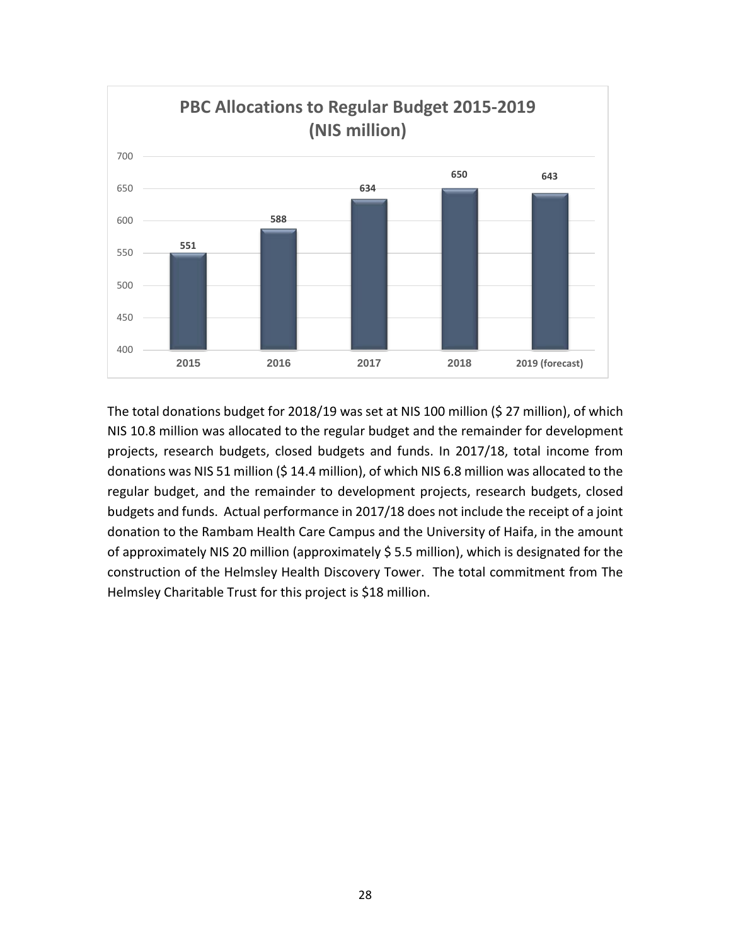

The total donations budget for 2018/19 was set at NIS 100 million (\$ 27 million), of which NIS 10.8 million was allocated to the regular budget and the remainder for development projects, research budgets, closed budgets and funds. In 2017/18, total income from donations was NIS 51 million (\$ 14.4 million), of which NIS 6.8 million was allocated to the regular budget, and the remainder to development projects, research budgets, closed budgets and funds. Actual performance in 2017/18 does not include the receipt of a joint donation to the Rambam Health Care Campus and the University of Haifa, in the amount of approximately NIS 20 million (approximately \$ 5.5 million), which is designated for the construction of the Helmsley Health Discovery Tower. The total commitment from The Helmsley Charitable Trust for this project is \$18 million.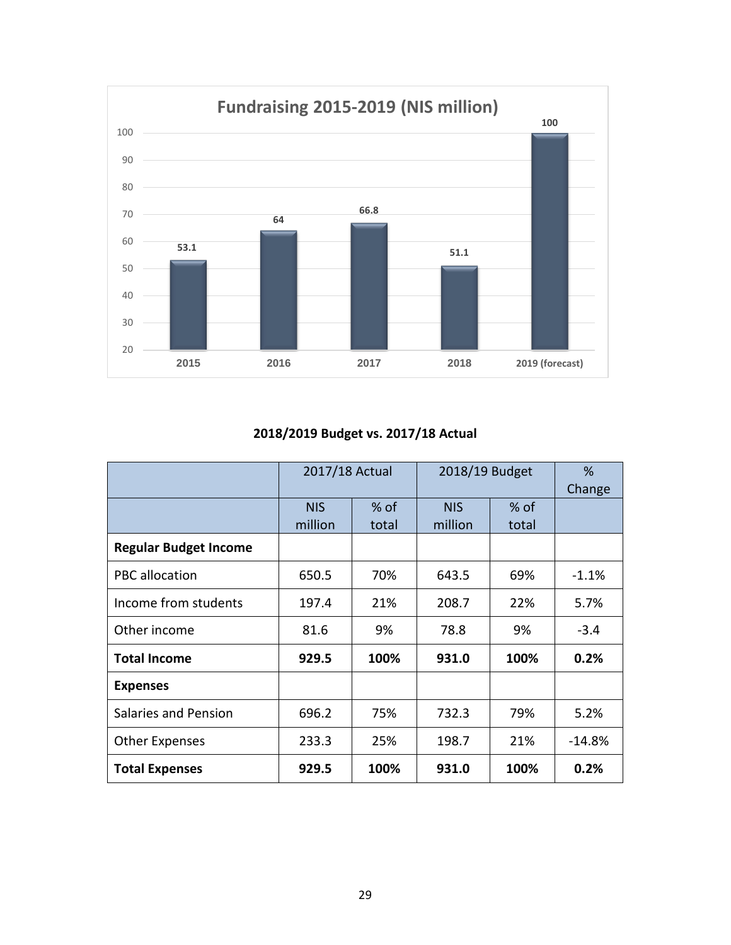

### **2018/2019 Budget vs. 2017/18 Actual**

|                              | 2017/18 Actual |        | 2018/19 Budget | %      |         |
|------------------------------|----------------|--------|----------------|--------|---------|
|                              |                |        |                | Change |         |
|                              | <b>NIS</b>     | $%$ of | <b>NIS</b>     | $%$ of |         |
|                              | million        | total  | million        | total  |         |
| <b>Regular Budget Income</b> |                |        |                |        |         |
| PBC allocation               | 650.5          | 70%    | 643.5          | 69%    | $-1.1%$ |
| Income from students         | 197.4          | 21%    | 208.7          | 22%    | 5.7%    |
| Other income                 | 81.6           | 9%     | 78.8           | 9%     | $-3.4$  |
| <b>Total Income</b>          | 929.5          | 100%   | 931.0          | 100%   | 0.2%    |
| <b>Expenses</b>              |                |        |                |        |         |
| Salaries and Pension         | 696.2          | 75%    | 732.3          | 79%    | 5.2%    |
| <b>Other Expenses</b>        | 233.3          | 25%    | 198.7          | 21%    | -14.8%  |
| <b>Total Expenses</b>        | 929.5          | 100%   | 931.0          | 100%   | 0.2%    |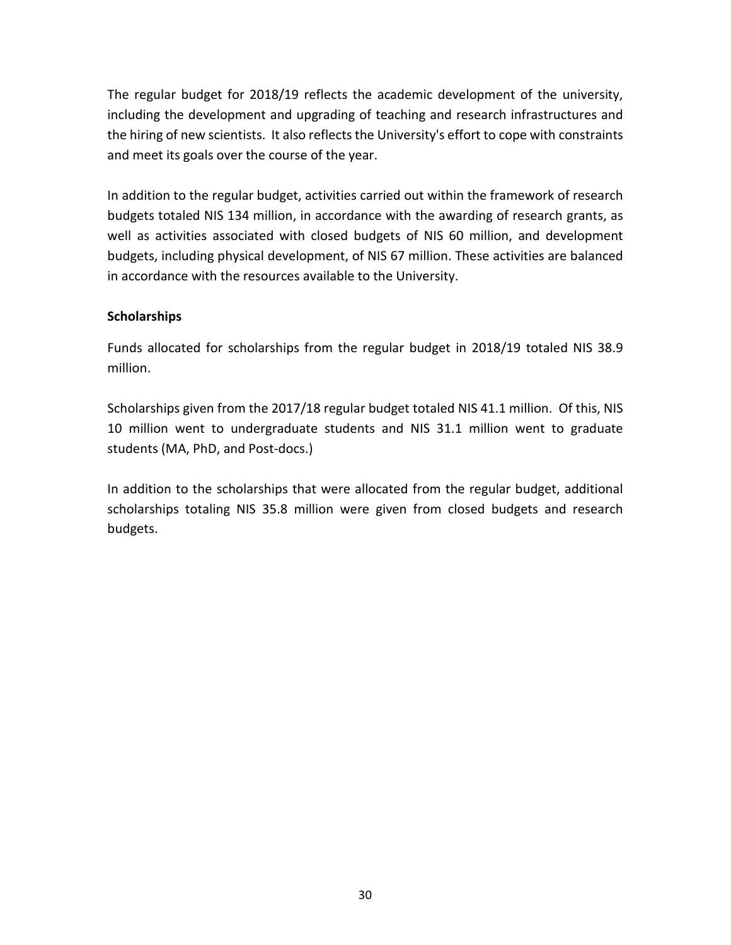The regular budget for 2018/19 reflects the academic development of the university, including the development and upgrading of teaching and research infrastructures and the hiring of new scientists. It also reflects the University's effort to cope with constraints and meet its goals over the course of the year.

In addition to the regular budget, activities carried out within the framework of research budgets totaled NIS 134 million, in accordance with the awarding of research grants, as well as activities associated with closed budgets of NIS 60 million, and development budgets, including physical development, of NIS 67 million. These activities are balanced in accordance with the resources available to the University.

### **Scholarships**

Funds allocated for scholarships from the regular budget in 2018/19 totaled NIS 38.9 million.

Scholarships given from the 2017/18 regular budget totaled NIS 41.1 million. Of this, NIS 10 million went to undergraduate students and NIS 31.1 million went to graduate students (MA, PhD, and Post-docs.)

In addition to the scholarships that were allocated from the regular budget, additional scholarships totaling NIS 35.8 million were given from closed budgets and research budgets.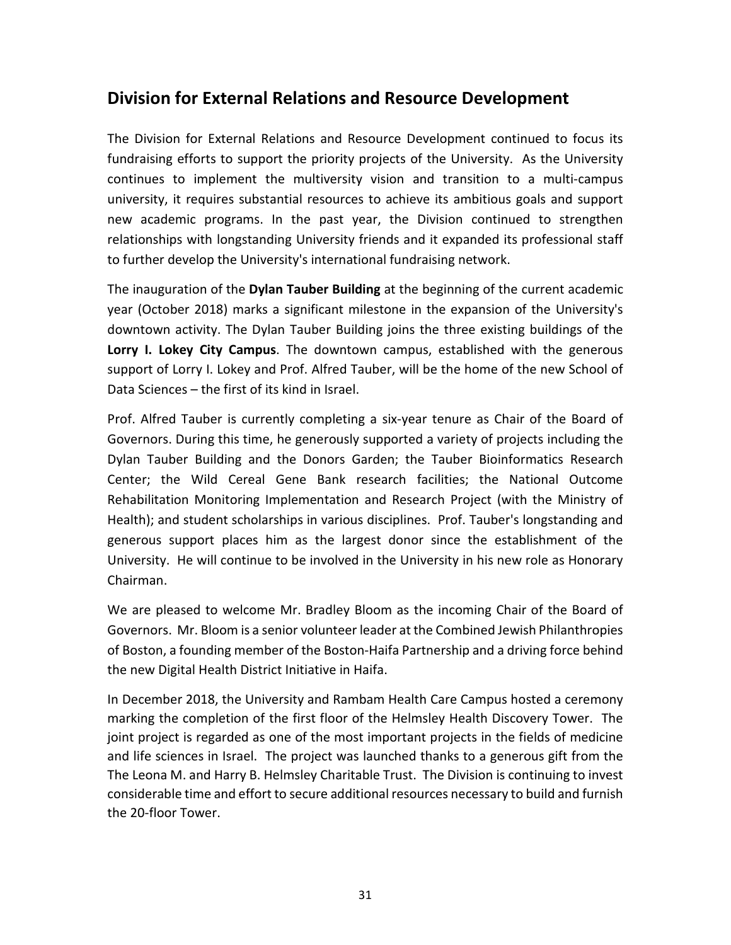# **Division for External Relations and Resource Development**

The Division for External Relations and Resource Development continued to focus its fundraising efforts to support the priority projects of the University. As the University continues to implement the multiversity vision and transition to a multi-campus university, it requires substantial resources to achieve its ambitious goals and support new academic programs. In the past year, the Division continued to strengthen relationships with longstanding University friends and it expanded its professional staff to further develop the University's international fundraising network.

The inauguration of the **Dylan Tauber Building** at the beginning of the current academic year (October 2018) marks a significant milestone in the expansion of the University's downtown activity. The Dylan Tauber Building joins the three existing buildings of the **Lorry I. Lokey City Campus**. The downtown campus, established with the generous support of Lorry I. Lokey and Prof. Alfred Tauber, will be the home of the new School of Data Sciences – the first of its kind in Israel.

Prof. Alfred Tauber is currently completing a six-year tenure as Chair of the Board of Governors. During this time, he generously supported a variety of projects including the Dylan Tauber Building and the Donors Garden; the Tauber Bioinformatics Research Center; the Wild Cereal Gene Bank research facilities; the National Outcome Rehabilitation Monitoring Implementation and Research Project (with the Ministry of Health); and student scholarships in various disciplines. Prof. Tauber's longstanding and generous support places him as the largest donor since the establishment of the University. He will continue to be involved in the University in his new role as Honorary Chairman.

We are pleased to welcome Mr. Bradley Bloom as the incoming Chair of the Board of Governors. Mr. Bloom is a senior volunteer leader at the Combined Jewish Philanthropies of Boston, a founding member of the Boston-Haifa Partnership and a driving force behind the new Digital Health District Initiative in Haifa.

In December 2018, the University and Rambam Health Care Campus hosted a ceremony marking the completion of the first floor of the Helmsley Health Discovery Tower. The joint project is regarded as one of the most important projects in the fields of medicine and life sciences in Israel. The project was launched thanks to a generous gift from the The Leona M. and Harry B. Helmsley Charitable Trust. The Division is continuing to invest considerable time and effort to secure additional resources necessary to build and furnish the 20-floor Tower.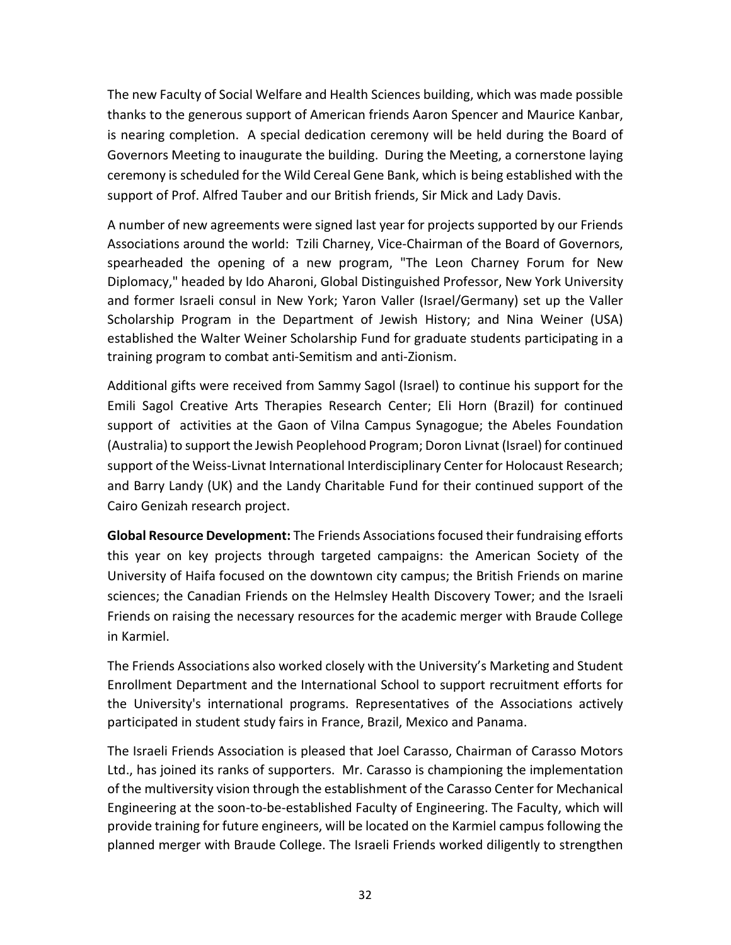The new Faculty of Social Welfare and Health Sciences building, which was made possible thanks to the generous support of American friends Aaron Spencer and Maurice Kanbar, is nearing completion. A special dedication ceremony will be held during the Board of Governors Meeting to inaugurate the building. During the Meeting, a cornerstone laying ceremony is scheduled for the Wild Cereal Gene Bank, which is being established with the support of Prof. Alfred Tauber and our British friends, Sir Mick and Lady Davis.

A number of new agreements were signed last year for projects supported by our Friends Associations around the world: Tzili Charney, Vice-Chairman of the Board of Governors, spearheaded the opening of a new program, "The Leon Charney Forum for New Diplomacy," headed by Ido Aharoni, Global Distinguished Professor, New York University and former Israeli consul in New York; Yaron Valler (Israel/Germany) set up the Valler Scholarship Program in the Department of Jewish History; and Nina Weiner (USA) established the Walter Weiner Scholarship Fund for graduate students participating in a training program to combat anti-Semitism and anti-Zionism.

Additional gifts were received from Sammy Sagol (Israel) to continue his support for the Emili Sagol Creative Arts Therapies Research Center; Eli Horn (Brazil) for continued support of activities at the Gaon of Vilna Campus Synagogue; the Abeles Foundation (Australia) to support the Jewish Peoplehood Program; Doron Livnat (Israel) for continued support of the Weiss-Livnat International Interdisciplinary Center for Holocaust Research; and Barry Landy (UK) and the Landy Charitable Fund for their continued support of the Cairo Genizah research project.

**Global Resource Development:** The Friends Associations focused their fundraising efforts this year on key projects through targeted campaigns: the American Society of the University of Haifa focused on the downtown city campus; the British Friends on marine sciences; the Canadian Friends on the Helmsley Health Discovery Tower; and the Israeli Friends on raising the necessary resources for the academic merger with Braude College in Karmiel.

The Friends Associations also worked closely with the University's Marketing and Student Enrollment Department and the International School to support recruitment efforts for the University's international programs. Representatives of the Associations actively participated in student study fairs in France, Brazil, Mexico and Panama.

The Israeli Friends Association is pleased that Joel Carasso, Chairman of Carasso Motors Ltd., has joined its ranks of supporters. Mr. Carasso is championing the implementation of the multiversity vision through the establishment of the Carasso Center for Mechanical Engineering at the soon-to-be-established Faculty of Engineering. The Faculty, which will provide training for future engineers, will be located on the Karmiel campus following the planned merger with Braude College. The Israeli Friends worked diligently to strengthen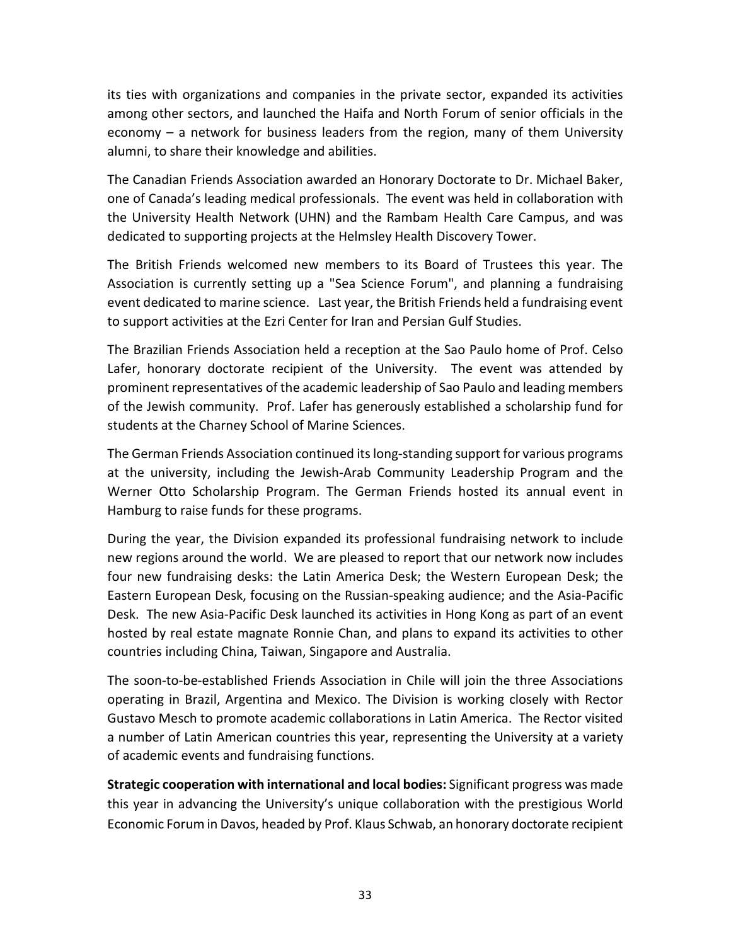its ties with organizations and companies in the private sector, expanded its activities among other sectors, and launched the Haifa and North Forum of senior officials in the economy – a network for business leaders from the region, many of them University alumni, to share their knowledge and abilities.

The Canadian Friends Association awarded an Honorary Doctorate to Dr. Michael Baker, one of Canada's leading medical professionals. The event was held in collaboration with the University Health Network (UHN) and the Rambam Health Care Campus, and was dedicated to supporting projects at the Helmsley Health Discovery Tower.

The British Friends welcomed new members to its Board of Trustees this year. The Association is currently setting up a "Sea Science Forum", and planning a fundraising event dedicated to marine science. Last year, the British Friends held a fundraising event to support activities at the Ezri Center for Iran and Persian Gulf Studies.

The Brazilian Friends Association held a reception at the Sao Paulo home of Prof. Celso Lafer, honorary doctorate recipient of the University. The event was attended by prominent representatives of the academic leadership of Sao Paulo and leading members of the Jewish community. Prof. Lafer has generously established a scholarship fund for students at the Charney School of Marine Sciences.

The German Friends Association continued its long-standing support for various programs at the university, including the Jewish-Arab Community Leadership Program and the Werner Otto Scholarship Program. The German Friends hosted its annual event in Hamburg to raise funds for these programs.

During the year, the Division expanded its professional fundraising network to include new regions around the world. We are pleased to report that our network now includes four new fundraising desks: the Latin America Desk; the Western European Desk; the Eastern European Desk, focusing on the Russian-speaking audience; and the Asia-Pacific Desk. The new Asia-Pacific Desk launched its activities in Hong Kong as part of an event hosted by real estate magnate Ronnie Chan, and plans to expand its activities to other countries including China, Taiwan, Singapore and Australia.

The soon-to-be-established Friends Association in Chile will join the three Associations operating in Brazil, Argentina and Mexico. The Division is working closely with Rector Gustavo Mesch to promote academic collaborations in Latin America. The Rector visited a number of Latin American countries this year, representing the University at a variety of academic events and fundraising functions.

**Strategic cooperation with international and local bodies:** Significant progress was made this year in advancing the University's unique collaboration with the prestigious World Economic Forum in Davos, headed by Prof. Klaus Schwab, an honorary doctorate recipient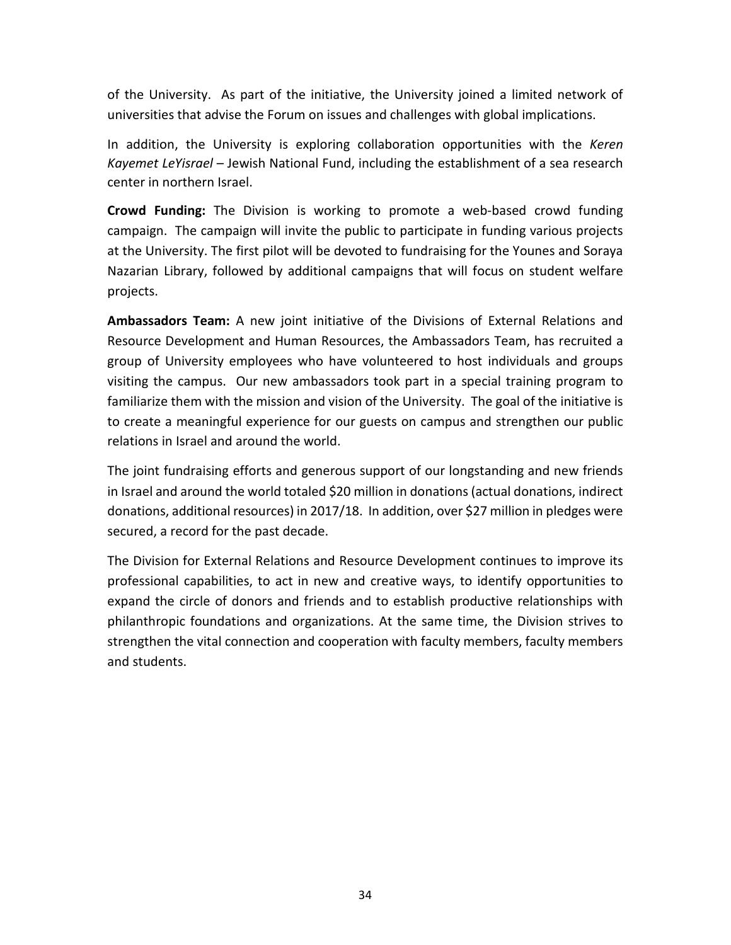of the University. As part of the initiative, the University joined a limited network of universities that advise the Forum on issues and challenges with global implications.

In addition, the University is exploring collaboration opportunities with the *Keren Kayemet LeYisrael* – Jewish National Fund, including the establishment of a sea research center in northern Israel.

**Crowd Funding:** The Division is working to promote a web-based crowd funding campaign. The campaign will invite the public to participate in funding various projects at the University. The first pilot will be devoted to fundraising for the Younes and Soraya Nazarian Library, followed by additional campaigns that will focus on student welfare projects.

**Ambassadors Team:** A new joint initiative of the Divisions of External Relations and Resource Development and Human Resources, the Ambassadors Team, has recruited a group of University employees who have volunteered to host individuals and groups visiting the campus. Our new ambassadors took part in a special training program to familiarize them with the mission and vision of the University. The goal of the initiative is to create a meaningful experience for our guests on campus and strengthen our public relations in Israel and around the world.

The joint fundraising efforts and generous support of our longstanding and new friends in Israel and around the world totaled \$20 million in donations (actual donations, indirect donations, additional resources) in 2017/18. In addition, over \$27 million in pledges were secured, a record for the past decade.

The Division for External Relations and Resource Development continues to improve its professional capabilities, to act in new and creative ways, to identify opportunities to expand the circle of donors and friends and to establish productive relationships with philanthropic foundations and organizations. At the same time, the Division strives to strengthen the vital connection and cooperation with faculty members, faculty members and students.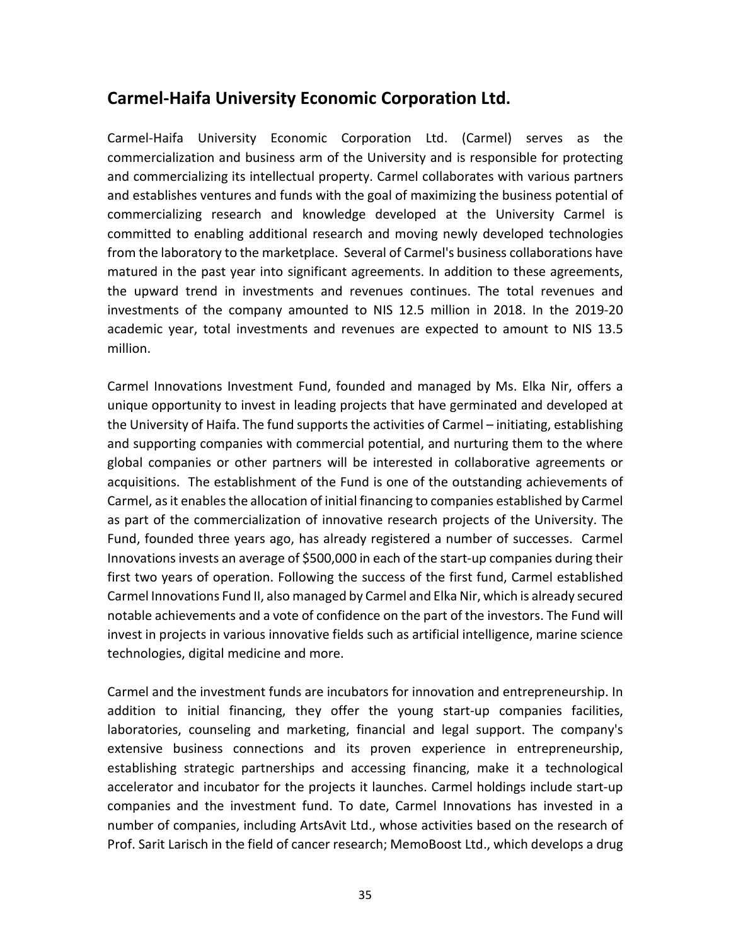## **Carmel-Haifa University Economic Corporation Ltd.**

Carmel-Haifa University Economic Corporation Ltd. (Carmel) serves as the commercialization and business arm of the University and is responsible for protecting and commercializing its intellectual property. Carmel collaborates with various partners and establishes ventures and funds with the goal of maximizing the business potential of commercializing research and knowledge developed at the University Carmel is committed to enabling additional research and moving newly developed technologies from the laboratory to the marketplace. Several of Carmel's business collaborations have matured in the past year into significant agreements. In addition to these agreements, the upward trend in investments and revenues continues. The total revenues and investments of the company amounted to NIS 12.5 million in 2018. In the 2019-20 academic year, total investments and revenues are expected to amount to NIS 13.5 million.

Carmel Innovations Investment Fund, founded and managed by Ms. Elka Nir, offers a unique opportunity to invest in leading projects that have germinated and developed at the University of Haifa. The fund supports the activities of Carmel – initiating, establishing and supporting companies with commercial potential, and nurturing them to the where global companies or other partners will be interested in collaborative agreements or acquisitions. The establishment of the Fund is one of the outstanding achievements of Carmel, as it enables the allocation of initial financing to companies established by Carmel as part of the commercialization of innovative research projects of the University. The Fund, founded three years ago, has already registered a number of successes. Carmel Innovations invests an average of \$500,000 in each of the start-up companies during their first two years of operation. Following the success of the first fund, Carmel established Carmel Innovations Fund II, also managed by Carmel and Elka Nir, which is already secured notable achievements and a vote of confidence on the part of the investors. The Fund will invest in projects in various innovative fields such as artificial intelligence, marine science technologies, digital medicine and more.

Carmel and the investment funds are incubators for innovation and entrepreneurship. In addition to initial financing, they offer the young start-up companies facilities, laboratories, counseling and marketing, financial and legal support. The company's extensive business connections and its proven experience in entrepreneurship, establishing strategic partnerships and accessing financing, make it a technological accelerator and incubator for the projects it launches. Carmel holdings include start-up companies and the investment fund. To date, Carmel Innovations has invested in a number of companies, including ArtsAvit Ltd., whose activities based on the research of Prof. Sarit Larisch in the field of cancer research; MemoBoost Ltd., which develops a drug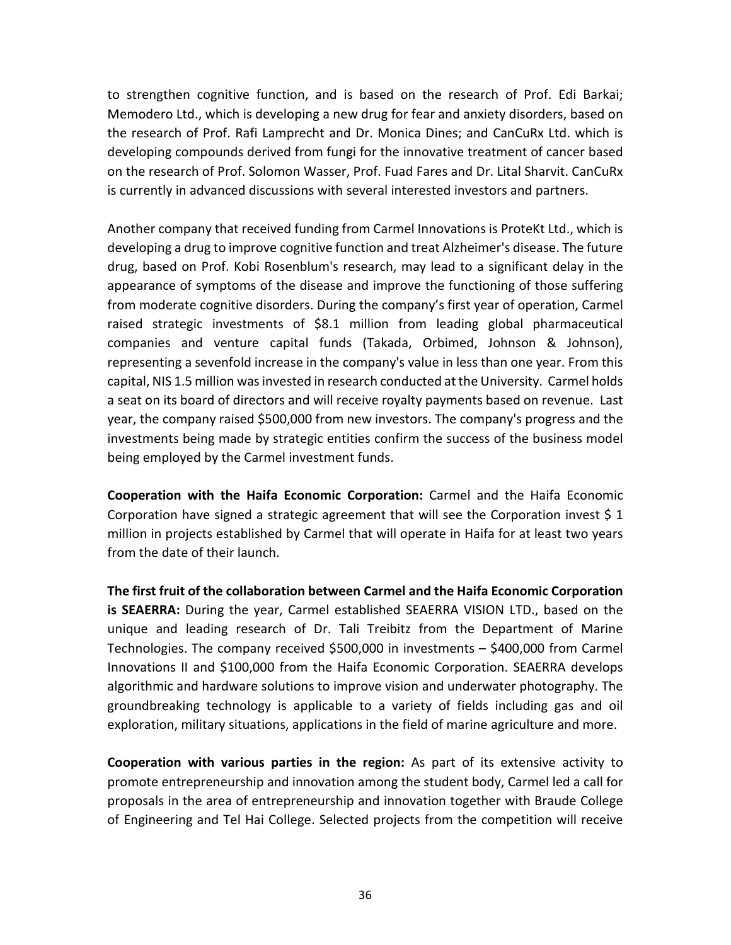to strengthen cognitive function, and is based on the research of Prof. Edi Barkai; Memodero Ltd., which is developing a new drug for fear and anxiety disorders, based on the research of Prof. Rafi Lamprecht and Dr. Monica Dines; and CanCuRx Ltd. which is developing compounds derived from fungi for the innovative treatment of cancer based on the research of Prof. Solomon Wasser, Prof. Fuad Fares and Dr. Lital Sharvit. CanCuRx is currently in advanced discussions with several interested investors and partners.

Another company that received funding from Carmel Innovations is ProteKt Ltd., which is developing a drug to improve cognitive function and treat Alzheimer's disease. The future drug, based on Prof. Kobi Rosenblum's research, may lead to a significant delay in the appearance of symptoms of the disease and improve the functioning of those suffering from moderate cognitive disorders. During the company's first year of operation, Carmel raised strategic investments of \$8.1 million from leading global pharmaceutical companies and venture capital funds (Takada, Orbimed, Johnson & Johnson), representing a sevenfold increase in the company's value in less than one year. From this capital, NIS 1.5 million was invested in research conducted at the University. Carmel holds a seat on its board of directors and will receive royalty payments based on revenue. Last year, the company raised \$500,000 from new investors. The company's progress and the investments being made by strategic entities confirm the success of the business model being employed by the Carmel investment funds.

**Cooperation with the Haifa Economic Corporation:** Carmel and the Haifa Economic Corporation have signed a strategic agreement that will see the Corporation invest  $\frac{1}{2}$  1 million in projects established by Carmel that will operate in Haifa for at least two years from the date of their launch.

**The first fruit of the collaboration between Carmel and the Haifa Economic Corporation is SEAERRA:** During the year, Carmel established SEAERRA VISION LTD., based on the unique and leading research of Dr. Tali Treibitz from the Department of Marine Technologies. The company received \$500,000 in investments – \$400,000 from Carmel Innovations II and \$100,000 from the Haifa Economic Corporation. SEAERRA develops algorithmic and hardware solutions to improve vision and underwater photography. The groundbreaking technology is applicable to a variety of fields including gas and oil exploration, military situations, applications in the field of marine agriculture and more.

**Cooperation with various parties in the region:** As part of its extensive activity to promote entrepreneurship and innovation among the student body, Carmel led a call for proposals in the area of entrepreneurship and innovation together with Braude College of Engineering and Tel Hai College. Selected projects from the competition will receive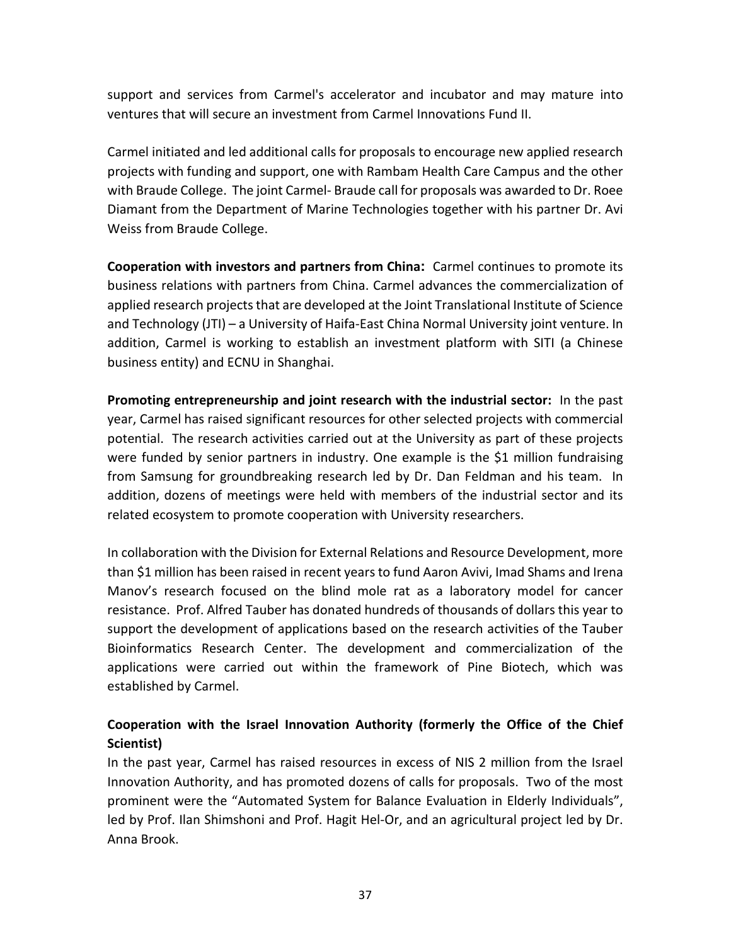support and services from Carmel's accelerator and incubator and may mature into ventures that will secure an investment from Carmel Innovations Fund II.

Carmel initiated and led additional calls for proposals to encourage new applied research projects with funding and support, one with Rambam Health Care Campus and the other with Braude College. The joint Carmel- Braude call for proposals was awarded to Dr. Roee Diamant from the Department of Marine Technologies together with his partner Dr. Avi Weiss from Braude College.

**Cooperation with investors and partners from China:** Carmel continues to promote its business relations with partners from China. Carmel advances the commercialization of applied research projects that are developed at the Joint Translational Institute of Science and Technology (JTI) – a University of Haifa-East China Normal University joint venture. In addition, Carmel is working to establish an investment platform with SITI (a Chinese business entity) and ECNU in Shanghai.

**Promoting entrepreneurship and joint research with the industrial sector:** In the past year, Carmel has raised significant resources for other selected projects with commercial potential. The research activities carried out at the University as part of these projects were funded by senior partners in industry. One example is the \$1 million fundraising from Samsung for groundbreaking research led by Dr. Dan Feldman and his team. In addition, dozens of meetings were held with members of the industrial sector and its related ecosystem to promote cooperation with University researchers.

In collaboration with the Division for External Relations and Resource Development, more than \$1 million has been raised in recent years to fund Aaron Avivi, Imad Shams and Irena Manov's research focused on the blind mole rat as a laboratory model for cancer resistance. Prof. Alfred Tauber has donated hundreds of thousands of dollars this year to support the development of applications based on the research activities of the Tauber Bioinformatics Research Center. The development and commercialization of the applications were carried out within the framework of Pine Biotech, which was established by Carmel.

### **Cooperation with the Israel Innovation Authority (formerly the Office of the Chief Scientist)**

In the past year, Carmel has raised resources in excess of NIS 2 million from the Israel Innovation Authority, and has promoted dozens of calls for proposals. Two of the most prominent were the "Automated System for Balance Evaluation in Elderly Individuals", led by Prof. Ilan Shimshoni and Prof. Hagit Hel-Or, and an agricultural project led by Dr. Anna Brook.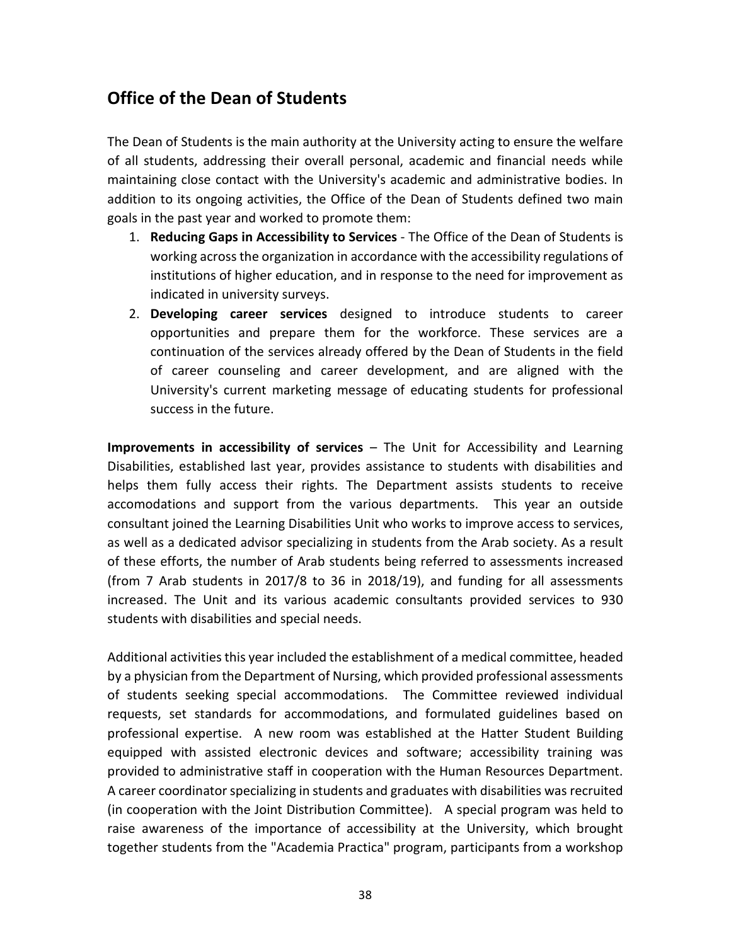# **Office of the Dean of Students**

The Dean of Students is the main authority at the University acting to ensure the welfare of all students, addressing their overall personal, academic and financial needs while maintaining close contact with the University's academic and administrative bodies. In addition to its ongoing activities, the Office of the Dean of Students defined two main goals in the past year and worked to promote them:

- 1. **Reducing Gaps in Accessibility to Services** The Office of the Dean of Students is working across the organization in accordance with the accessibility regulations of institutions of higher education, and in response to the need for improvement as indicated in university surveys.
- 2. **Developing career services** designed to introduce students to career opportunities and prepare them for the workforce. These services are a continuation of the services already offered by the Dean of Students in the field of career counseling and career development, and are aligned with the University's current marketing message of educating students for professional success in the future.

**Improvements in accessibility of services** – The Unit for Accessibility and Learning Disabilities, established last year, provides assistance to students with disabilities and helps them fully access their rights. The Department assists students to receive accomodations and support from the various departments. This year an outside consultant joined the Learning Disabilities Unit who works to improve access to services, as well as a dedicated advisor specializing in students from the Arab society. As a result of these efforts, the number of Arab students being referred to assessments increased (from 7 Arab students in 2017/8 to 36 in 2018/19), and funding for all assessments increased. The Unit and its various academic consultants provided services to 930 students with disabilities and special needs.

Additional activities this year included the establishment of a medical committee, headed by a physician from the Department of Nursing, which provided professional assessments of students seeking special accommodations. The Committee reviewed individual requests, set standards for accommodations, and formulated guidelines based on professional expertise. A new room was established at the Hatter Student Building equipped with assisted electronic devices and software; accessibility training was provided to administrative staff in cooperation with the Human Resources Department. A career coordinator specializing in students and graduates with disabilities was recruited (in cooperation with the Joint Distribution Committee). A special program was held to raise awareness of the importance of accessibility at the University, which brought together students from the "Academia Practica" program, participants from a workshop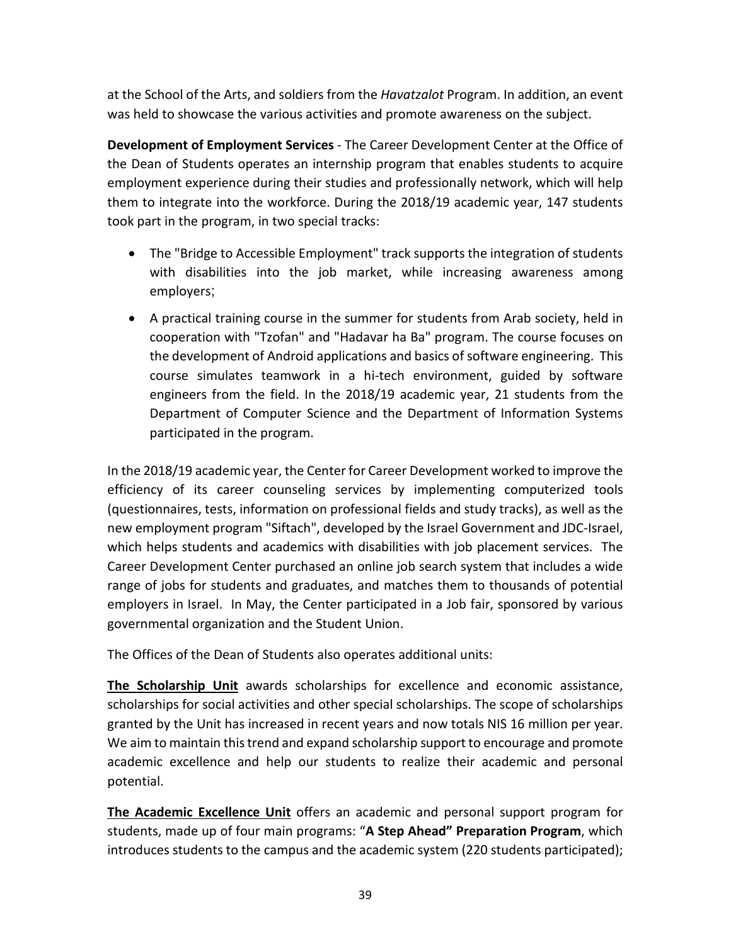at the School of the Arts, and soldiers from the *Havatzalot* Program. In addition, an event was held to showcase the various activities and promote awareness on the subject.

**Development of Employment Services** - The Career Development Center at the Office of the Dean of Students operates an internship program that enables students to acquire employment experience during their studies and professionally network, which will help them to integrate into the workforce. During the 2018/19 academic year, 147 students took part in the program, in two special tracks:

- The "Bridge to Accessible Employment" track supports the integration of students with disabilities into the job market, while increasing awareness among employers;
- A practical training course in the summer for students from Arab society, held in cooperation with "Tzofan" and "Hadavar ha Ba" program. The course focuses on the development of Android applications and basics of software engineering. This course simulates teamwork in a hi-tech environment, guided by software engineers from the field. In the 2018/19 academic year, 21 students from the Department of Computer Science and the Department of Information Systems participated in the program.

In the 2018/19 academic year, the Center for Career Development worked to improve the efficiency of its career counseling services by implementing computerized tools (questionnaires, tests, information on professional fields and study tracks), as well as the new employment program "Siftach", developed by the Israel Government and JDC-Israel, which helps students and academics with disabilities with job placement services. The Career Development Center purchased an online job search system that includes a wide range of jobs for students and graduates, and matches them to thousands of potential employers in Israel. In May, the Center participated in a Job fair, sponsored by various governmental organization and the Student Union.

The Offices of the Dean of Students also operates additional units:

**The Scholarship Unit** awards scholarships for excellence and economic assistance, scholarships for social activities and other special scholarships. The scope of scholarships granted by the Unit has increased in recent years and now totals NIS 16 million per year. We aim to maintain this trend and expand scholarship support to encourage and promote academic excellence and help our students to realize their academic and personal potential.

**The Academic Excellence Unit** offers an academic and personal support program for students, made up of four main programs: "**A Step Ahead" Preparation Program**, which introduces students to the campus and the academic system (220 students participated);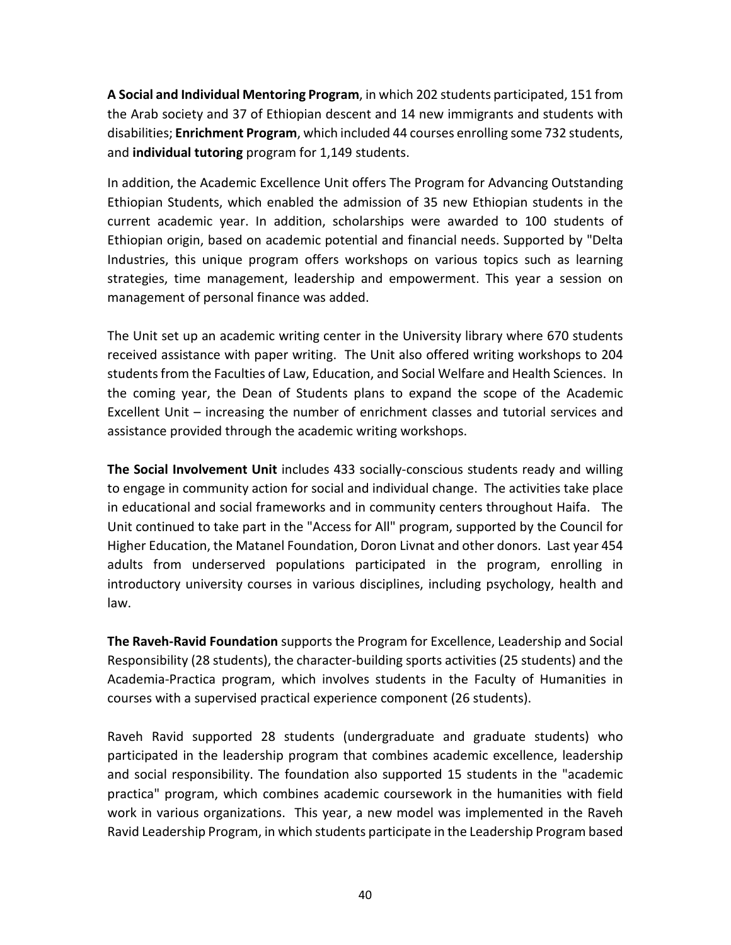**A Social and Individual Mentoring Program**, in which 202 students participated, 151 from the Arab society and 37 of Ethiopian descent and 14 new immigrants and students with disabilities; **Enrichment Program**, which included 44 courses enrolling some 732 students, and **individual tutoring** program for 1,149 students.

In addition, the Academic Excellence Unit offers The Program for Advancing Outstanding Ethiopian Students, which enabled the admission of 35 new Ethiopian students in the current academic year. In addition, scholarships were awarded to 100 students of Ethiopian origin, based on academic potential and financial needs. Supported by "Delta Industries, this unique program offers workshops on various topics such as learning strategies, time management, leadership and empowerment. This year a session on management of personal finance was added.

The Unit set up an academic writing center in the University library where 670 students received assistance with paper writing. The Unit also offered writing workshops to 204 students from the Faculties of Law, Education, and Social Welfare and Health Sciences. In the coming year, the Dean of Students plans to expand the scope of the Academic Excellent Unit – increasing the number of enrichment classes and tutorial services and assistance provided through the academic writing workshops.

**The Social Involvement Unit** includes 433 socially-conscious students ready and willing to engage in community action for social and individual change. The activities take place in educational and social frameworks and in community centers throughout Haifa. The Unit continued to take part in the "Access for All" program, supported by the Council for Higher Education, the Matanel Foundation, Doron Livnat and other donors. Last year 454 adults from underserved populations participated in the program, enrolling in introductory university courses in various disciplines, including psychology, health and law.

**The Raveh-Ravid Foundation** supports the Program for Excellence, Leadership and Social Responsibility (28 students), the character-building sports activities (25 students) and the Academia-Practica program, which involves students in the Faculty of Humanities in courses with a supervised practical experience component (26 students).

Raveh Ravid supported 28 students (undergraduate and graduate students) who participated in the leadership program that combines academic excellence, leadership and social responsibility. The foundation also supported 15 students in the "academic practica" program, which combines academic coursework in the humanities with field work in various organizations. This year, a new model was implemented in the Raveh Ravid Leadership Program, in which students participate in the Leadership Program based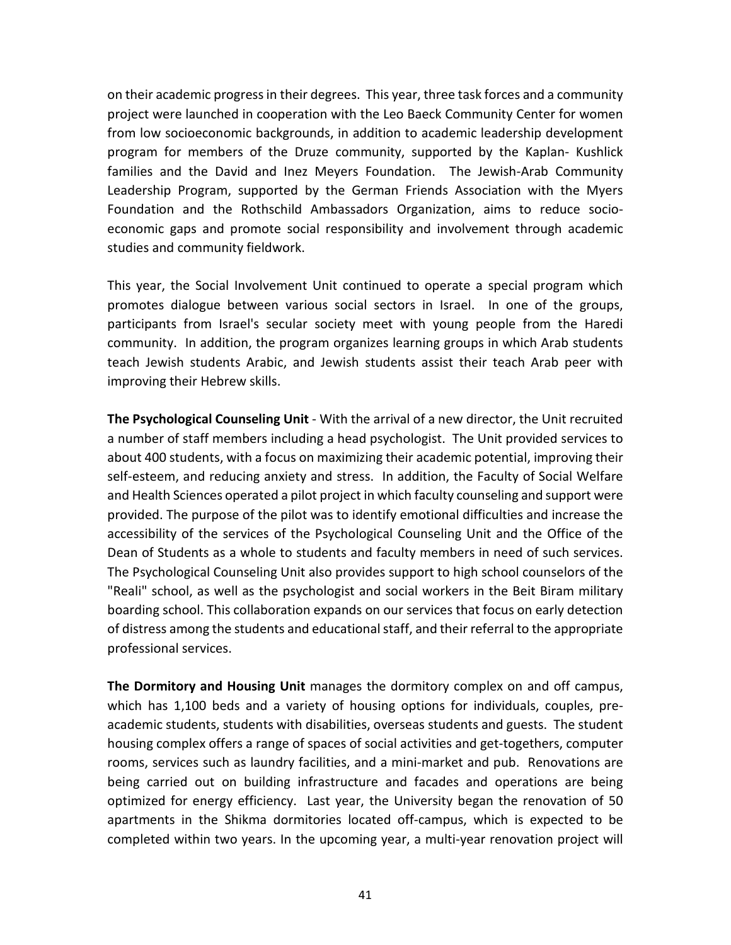on their academic progress in their degrees. This year, three task forces and a community project were launched in cooperation with the Leo Baeck Community Center for women from low socioeconomic backgrounds, in addition to academic leadership development program for members of the Druze community, supported by the Kaplan- Kushlick families and the David and Inez Meyers Foundation. The Jewish-Arab Community Leadership Program, supported by the German Friends Association with the Myers Foundation and the Rothschild Ambassadors Organization, aims to reduce socioeconomic gaps and promote social responsibility and involvement through academic studies and community fieldwork.

This year, the Social Involvement Unit continued to operate a special program which promotes dialogue between various social sectors in Israel. In one of the groups, participants from Israel's secular society meet with young people from the Haredi community. In addition, the program organizes learning groups in which Arab students teach Jewish students Arabic, and Jewish students assist their teach Arab peer with improving their Hebrew skills.

**The Psychological Counseling Unit** - With the arrival of a new director, the Unit recruited a number of staff members including a head psychologist. The Unit provided services to about 400 students, with a focus on maximizing their academic potential, improving their self-esteem, and reducing anxiety and stress. In addition, the Faculty of Social Welfare and Health Sciences operated a pilot project in which faculty counseling and support were provided. The purpose of the pilot was to identify emotional difficulties and increase the accessibility of the services of the Psychological Counseling Unit and the Office of the Dean of Students as a whole to students and faculty members in need of such services. The Psychological Counseling Unit also provides support to high school counselors of the "Reali" school, as well as the psychologist and social workers in the Beit Biram military boarding school. This collaboration expands on our services that focus on early detection of distress among the students and educational staff, and their referral to the appropriate professional services.

**The Dormitory and Housing Unit** manages the dormitory complex on and off campus, which has 1,100 beds and a variety of housing options for individuals, couples, preacademic students, students with disabilities, overseas students and guests. The student housing complex offers a range of spaces of social activities and get-togethers, computer rooms, services such as laundry facilities, and a mini-market and pub. Renovations are being carried out on building infrastructure and facades and operations are being optimized for energy efficiency. Last year, the University began the renovation of 50 apartments in the Shikma dormitories located off-campus, which is expected to be completed within two years. In the upcoming year, a multi-year renovation project will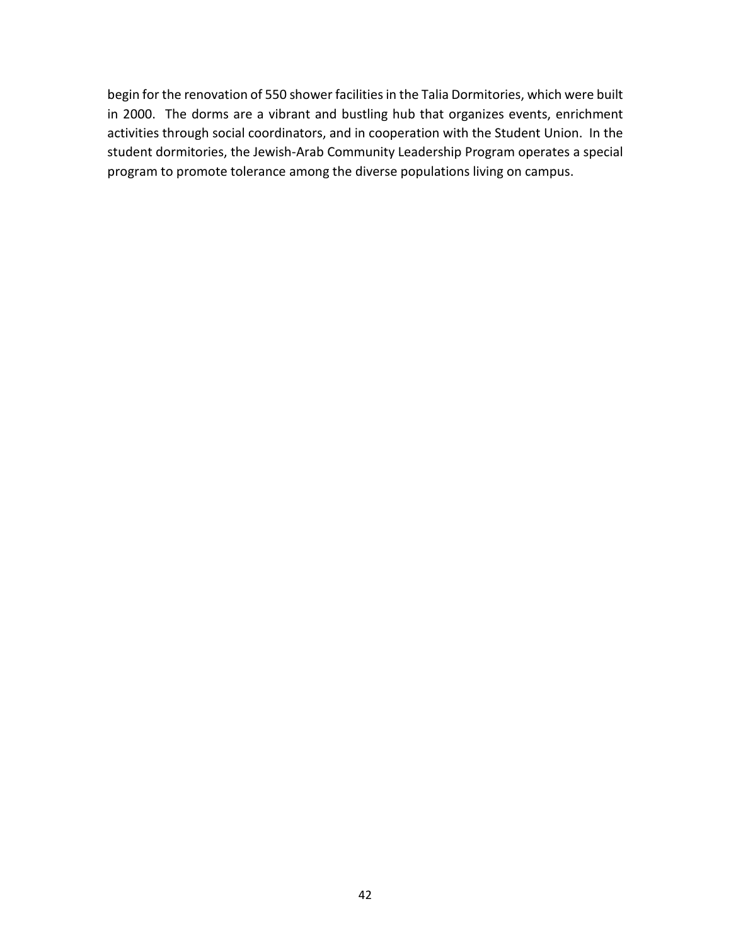begin for the renovation of 550 shower facilities in the Talia Dormitories, which were built in 2000. The dorms are a vibrant and bustling hub that organizes events, enrichment activities through social coordinators, and in cooperation with the Student Union. In the student dormitories, the Jewish-Arab Community Leadership Program operates a special program to promote tolerance among the diverse populations living on campus.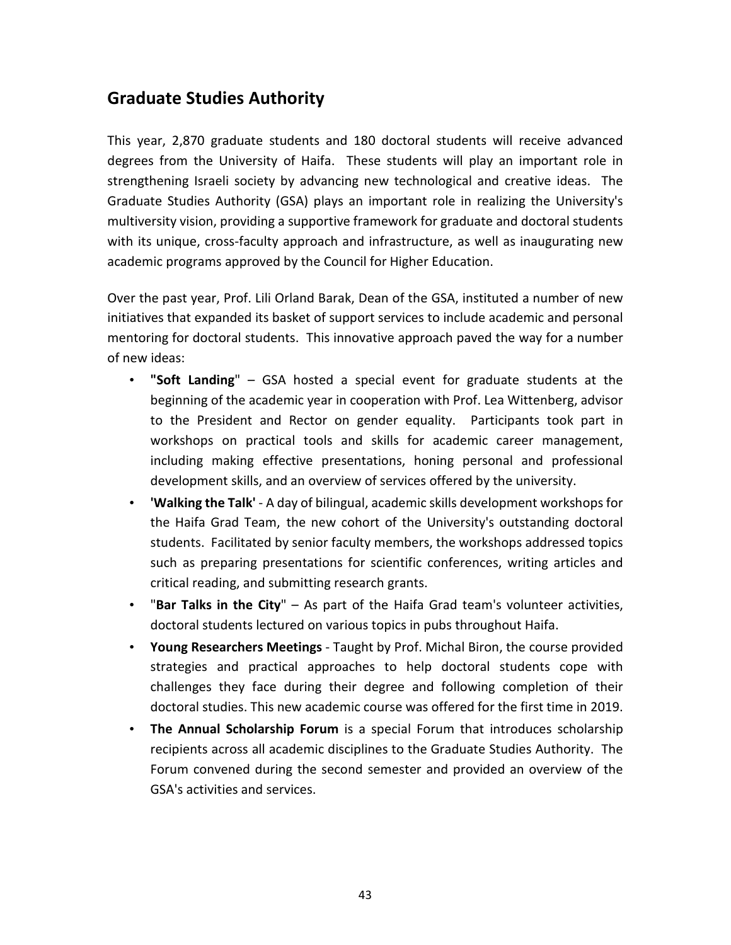# **Graduate Studies Authority**

This year, 2,870 graduate students and 180 doctoral students will receive advanced degrees from the University of Haifa. These students will play an important role in strengthening Israeli society by advancing new technological and creative ideas. The Graduate Studies Authority (GSA) plays an important role in realizing the University's multiversity vision, providing a supportive framework for graduate and doctoral students with its unique, cross-faculty approach and infrastructure, as well as inaugurating new academic programs approved by the Council for Higher Education.

Over the past year, Prof. Lili Orland Barak, Dean of the GSA, instituted a number of new initiatives that expanded its basket of support services to include academic and personal mentoring for doctoral students. This innovative approach paved the way for a number of new ideas:

- **"Soft Landing**" GSA hosted a special event for graduate students at the beginning of the academic year in cooperation with Prof. Lea Wittenberg, advisor to the President and Rector on gender equality. Participants took part in workshops on practical tools and skills for academic career management, including making effective presentations, honing personal and professional development skills, and an overview of services offered by the university.
- **'Walking the Talk'**  A day of bilingual, academic skills development workshops for the Haifa Grad Team, the new cohort of the University's outstanding doctoral students. Facilitated by senior faculty members, the workshops addressed topics such as preparing presentations for scientific conferences, writing articles and critical reading, and submitting research grants.
- "**Bar Talks in the City**" As part of the Haifa Grad team's volunteer activities, doctoral students lectured on various topics in pubs throughout Haifa.
- **Young Researchers Meetings** Taught by Prof. Michal Biron, the course provided strategies and practical approaches to help doctoral students cope with challenges they face during their degree and following completion of their doctoral studies. This new academic course was offered for the first time in 2019.
- **The Annual Scholarship Forum** is a special Forum that introduces scholarship recipients across all academic disciplines to the Graduate Studies Authority. The Forum convened during the second semester and provided an overview of the GSA's activities and services.